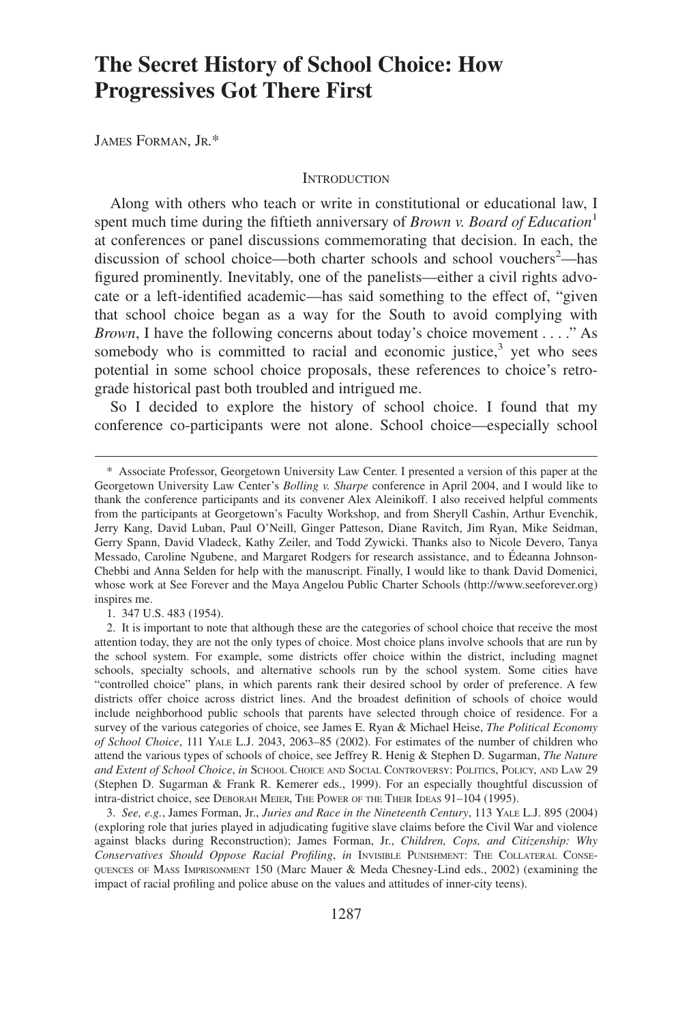# **The Secret History of School Choice: How Progressives Got There First**

JAMES FORMAN, JR.\*

#### **INTRODUCTION**

Along with others who teach or write in constitutional or educational law, I spent much time during the fiftieth anniversary of *Brown v. Board of Education*<sup>1</sup> at conferences or panel discussions commemorating that decision. In each, the discussion of school choice—both charter schools and school vouchers<sup>2</sup>—has figured prominently. Inevitably, one of the panelists—either a civil rights advocate or a left-identified academic—has said something to the effect of, "given that school choice began as a way for the South to avoid complying with *Brown*, I have the following concerns about today's choice movement . . . ." As somebody who is committed to racial and economic justice, $3$  yet who sees potential in some school choice proposals, these references to choice's retrograde historical past both troubled and intrigued me.

So I decided to explore the history of school choice. I found that my conference co-participants were not alone. School choice—especially school

1. 347 U.S. 483 (1954).

<sup>\*</sup> Associate Professor, Georgetown University Law Center. I presented a version of this paper at the Georgetown University Law Center's *Bolling v. Sharpe* conference in April 2004, and I would like to thank the conference participants and its convener Alex Aleinikoff. I also received helpful comments from the participants at Georgetown's Faculty Workshop, and from Sheryll Cashin, Arthur Evenchik, Jerry Kang, David Luban, Paul O'Neill, Ginger Patteson, Diane Ravitch, Jim Ryan, Mike Seidman, Gerry Spann, David Vladeck, Kathy Zeiler, and Todd Zywicki. Thanks also to Nicole Devero, Tanya Messado, Caroline Ngubene, and Margaret Rodgers for research assistance, and to Édeanna Johnson-Chebbi and Anna Selden for help with the manuscript. Finally, I would like to thank David Domenici, whose work at See Forever and the Maya Angelou Public Charter Schools (http://www.seeforever.org) inspires me.

<sup>2.</sup> It is important to note that although these are the categories of school choice that receive the most attention today, they are not the only types of choice. Most choice plans involve schools that are run by the school system. For example, some districts offer choice within the district, including magnet schools, specialty schools, and alternative schools run by the school system. Some cities have "controlled choice" plans, in which parents rank their desired school by order of preference. A few districts offer choice across district lines. And the broadest definition of schools of choice would include neighborhood public schools that parents have selected through choice of residence. For a survey of the various categories of choice, see James E. Ryan & Michael Heise, *The Political Economy of School Choice*, 111 YALE L.J. 2043, 2063–85 (2002). For estimates of the number of children who attend the various types of schools of choice, see Jeffrey R. Henig & Stephen D. Sugarman, *The Nature and Extent of School Choice*, *in* SCHOOL CHOICE AND SOCIAL CONTROVERSY: POLITICS, POLICY, AND LAW 29 (Stephen D. Sugarman & Frank R. Kemerer eds., 1999). For an especially thoughtful discussion of intra-district choice, see DEBORAH MEIER, THE POWER OF THE THEIR IDEAS 91–104 (1995).

<sup>3.</sup> *See, e.g.*, James Forman, Jr., *Juries and Race in the Nineteenth Century*, 113 YALE L.J. 895 (2004) (exploring role that juries played in adjudicating fugitive slave claims before the Civil War and violence against blacks during Reconstruction); James Forman, Jr., *Children, Cops, and Citizenship: Why Conservatives Should Oppose Racial Profiling*, *in* INVISIBLE PUNISHMENT: THE COLLATERAL CONSE-QUENCES OF MASS IMPRISONMENT 150 (Marc Mauer & Meda Chesney-Lind eds., 2002) (examining the impact of racial profiling and police abuse on the values and attitudes of inner-city teens).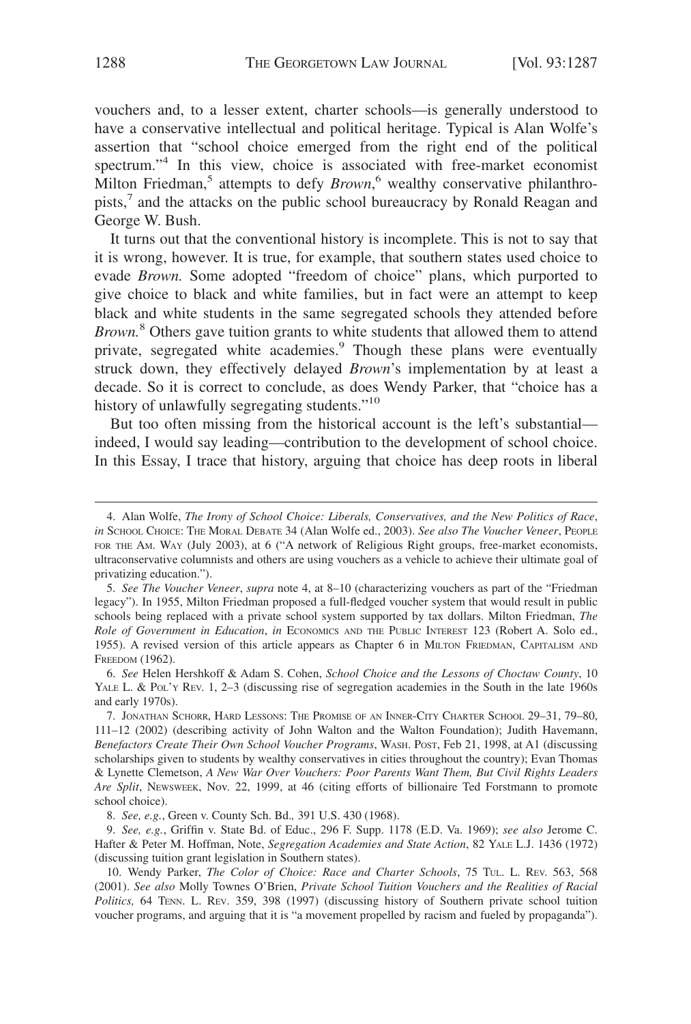vouchers and, to a lesser extent, charter schools—is generally understood to have a conservative intellectual and political heritage. Typical is Alan Wolfe's assertion that "school choice emerged from the right end of the political spectrum."<sup>4</sup> In this view, choice is associated with free-market economist Milton Friedman,<sup>5</sup> attempts to defy *Brown*,<sup>6</sup> wealthy conservative philanthropists,<sup>7</sup> and the attacks on the public school bureaucracy by Ronald Reagan and George W. Bush.

It turns out that the conventional history is incomplete. This is not to say that it is wrong, however. It is true, for example, that southern states used choice to evade *Brown.* Some adopted "freedom of choice" plans, which purported to give choice to black and white families, but in fact were an attempt to keep black and white students in the same segregated schools they attended before *Brown.*<sup>8</sup> Others gave tuition grants to white students that allowed them to attend private, segregated white academies.<sup>9</sup> Though these plans were eventually struck down, they effectively delayed *Brown*'s implementation by at least a decade. So it is correct to conclude, as does Wendy Parker, that "choice has a history of unlawfully segregating students."<sup>10</sup>

But too often missing from the historical account is the left's substantial indeed, I would say leading—contribution to the development of school choice. In this Essay, I trace that history, arguing that choice has deep roots in liberal

<sup>4.</sup> Alan Wolfe, *The Irony of School Choice: Liberals, Conservatives, and the New Politics of Race*, *in* SCHOOL CHOICE: THE MORAL DEBATE 34 (Alan Wolfe ed., 2003). *See also The Voucher Veneer*, PEOPLE FOR THE AM. WAY (July 2003), at 6 ("A network of Religious Right groups, free-market economists, ultraconservative columnists and others are using vouchers as a vehicle to achieve their ultimate goal of privatizing education.").

<sup>5.</sup> *See The Voucher Veneer*, *supra* note 4, at 8–10 (characterizing vouchers as part of the "Friedman legacy"). In 1955, Milton Friedman proposed a full-fledged voucher system that would result in public schools being replaced with a private school system supported by tax dollars. Milton Friedman, *The Role of Government in Education*, *in* ECONOMICS AND THE PUBLIC INTEREST 123 (Robert A. Solo ed., 1955). A revised version of this article appears as Chapter 6 in MILTON FRIEDMAN, CAPITALISM AND FREEDOM (1962).

<sup>6.</sup> *See* Helen Hershkoff & Adam S. Cohen, *School Choice and the Lessons of Choctaw County*, 10 YALE L. & Pol'y Rev. 1, 2-3 (discussing rise of segregation academies in the South in the late 1960s and early 1970s).

<sup>7.</sup> JONATHAN SCHORR, HARD LESSONS: THE PROMISE OF AN INNER-CITY CHARTER SCHOOL 29–31, 79–80, 111–12 (2002) (describing activity of John Walton and the Walton Foundation); Judith Havemann, *Benefactors Create Their Own School Voucher Programs*, WASH. POST, Feb 21, 1998, at A1 (discussing scholarships given to students by wealthy conservatives in cities throughout the country); Evan Thomas & Lynette Clemetson, *A New War Over Vouchers: Poor Parents Want Them, But Civil Rights Leaders Are Split*, NEWSWEEK, Nov. 22, 1999, at 46 (citing efforts of billionaire Ted Forstmann to promote school choice).

<sup>8.</sup> *See, e.g.*, Green v. County Sch. Bd.*,* 391 U.S. 430 (1968).

<sup>9.</sup> *See, e.g.*, Griffin v. State Bd. of Educ., 296 F. Supp. 1178 (E.D. Va. 1969); *see also* Jerome C. Hafter & Peter M. Hoffman, Note, *Segregation Academies and State Action*, 82 YALE L.J. 1436 (1972) (discussing tuition grant legislation in Southern states).

<sup>10.</sup> Wendy Parker, *The Color of Choice: Race and Charter Schools*, 75 TUL. L. REV. 563, 568 (2001). *See also* Molly Townes O'Brien, *Private School Tuition Vouchers and the Realities of Racial Politics,* 64 TENN. L. REV. 359, 398 (1997) (discussing history of Southern private school tuition voucher programs, and arguing that it is "a movement propelled by racism and fueled by propaganda").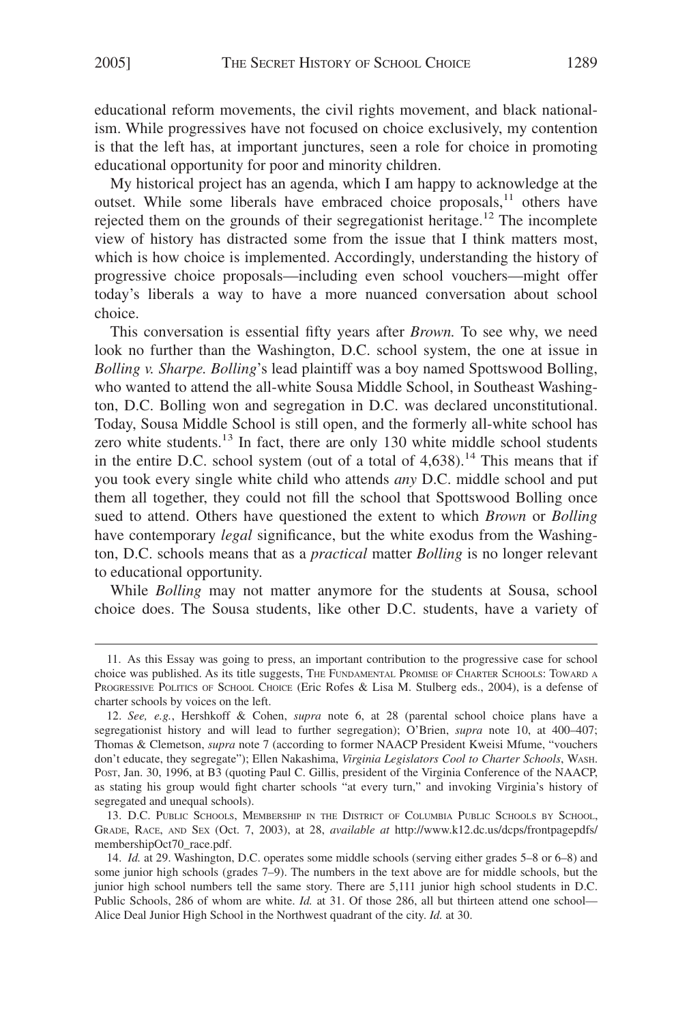educational reform movements, the civil rights movement, and black nationalism. While progressives have not focused on choice exclusively, my contention is that the left has, at important junctures, seen a role for choice in promoting educational opportunity for poor and minority children.

My historical project has an agenda, which I am happy to acknowledge at the outset. While some liberals have embraced choice proposals, $11$  others have rejected them on the grounds of their segregationist heritage.<sup>12</sup> The incomplete view of history has distracted some from the issue that I think matters most, which is how choice is implemented. Accordingly, understanding the history of progressive choice proposals—including even school vouchers—might offer today's liberals a way to have a more nuanced conversation about school choice.

This conversation is essential fifty years after *Brown.* To see why, we need look no further than the Washington, D.C. school system, the one at issue in *Bolling v. Sharpe. Bolling*'s lead plaintiff was a boy named Spottswood Bolling, who wanted to attend the all-white Sousa Middle School, in Southeast Washington, D.C. Bolling won and segregation in D.C. was declared unconstitutional. Today, Sousa Middle School is still open, and the formerly all-white school has zero white students. $^{13}$  In fact, there are only 130 white middle school students in the entire D.C. school system (out of a total of  $4,638$ ).<sup>14</sup> This means that if you took every single white child who attends *any* D.C. middle school and put them all together, they could not fill the school that Spottswood Bolling once sued to attend. Others have questioned the extent to which *Brown* or *Bolling* have contemporary *legal* significance, but the white exodus from the Washington, D.C. schools means that as a *practical* matter *Bolling* is no longer relevant to educational opportunity.

While *Bolling* may not matter anymore for the students at Sousa, school choice does. The Sousa students, like other D.C. students, have a variety of

<sup>11.</sup> As this Essay was going to press, an important contribution to the progressive case for school choice was published. As its title suggests, THE FUNDAMENTAL PROMISE OF CHARTER SCHOOLS: TOWARD A PROGRESSIVE POLITICS OF SCHOOL CHOICE (Eric Rofes & Lisa M. Stulberg eds., 2004), is a defense of charter schools by voices on the left.

<sup>12.</sup> *See, e.g.*, Hershkoff & Cohen, *supra* note 6, at 28 (parental school choice plans have a segregationist history and will lead to further segregation); O'Brien, *supra* note 10, at 400–407; Thomas & Clemetson, *supra* note 7 (according to former NAACP President Kweisi Mfume, "vouchers don't educate, they segregate"); Ellen Nakashima, *Virginia Legislators Cool to Charter Schools*, WASH. POST, Jan. 30, 1996, at B3 (quoting Paul C. Gillis, president of the Virginia Conference of the NAACP, as stating his group would fight charter schools "at every turn," and invoking Virginia's history of segregated and unequal schools).

<sup>13.</sup> D.C. PUBLIC SCHOOLS, MEMBERSHIP IN THE DISTRICT OF COLUMBIA PUBLIC SCHOOLS BY SCHOOL, GRADE, RACE, AND SEX (Oct. 7, 2003), at 28, *available at* http://www.k12.dc.us/dcps/frontpagepdfs/ membershipOct70\_race.pdf.

<sup>14.</sup> *Id.* at 29. Washington, D.C. operates some middle schools (serving either grades 5–8 or 6–8) and some junior high schools (grades 7–9). The numbers in the text above are for middle schools, but the junior high school numbers tell the same story. There are 5,111 junior high school students in D.C. Public Schools, 286 of whom are white. *Id.* at 31. Of those 286, all but thirteen attend one school— Alice Deal Junior High School in the Northwest quadrant of the city. *Id.* at 30.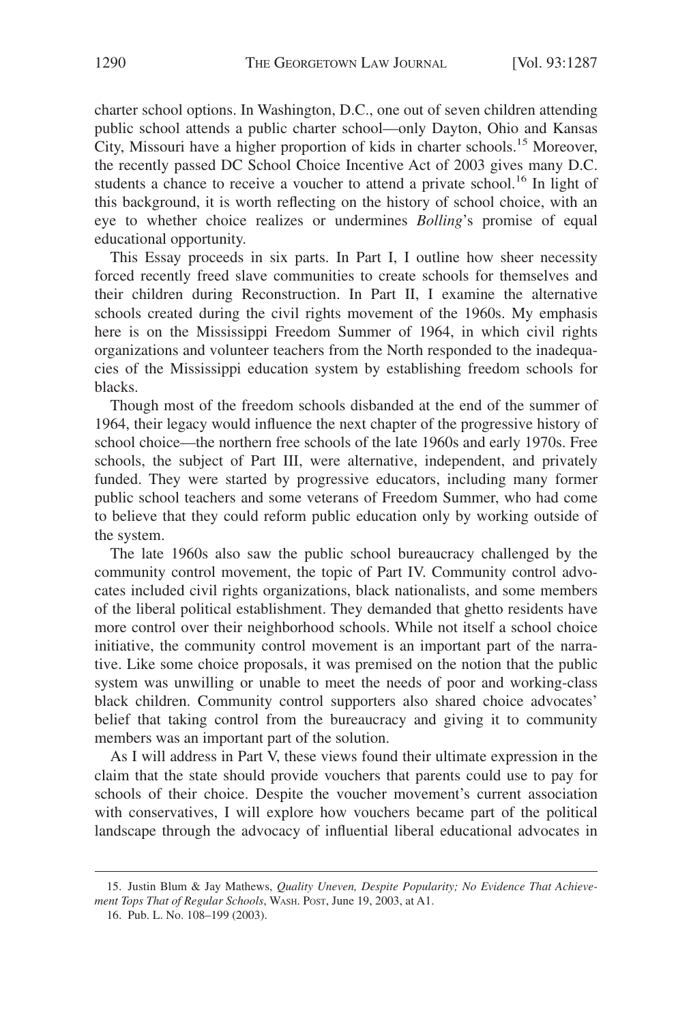charter school options. In Washington, D.C., one out of seven children attending public school attends a public charter school—only Dayton, Ohio and Kansas City, Missouri have a higher proportion of kids in charter schools.15 Moreover, the recently passed DC School Choice Incentive Act of 2003 gives many D.C. students a chance to receive a voucher to attend a private school.<sup>16</sup> In light of this background, it is worth reflecting on the history of school choice, with an eye to whether choice realizes or undermines *Bolling*'s promise of equal educational opportunity.

This Essay proceeds in six parts. In Part I, I outline how sheer necessity forced recently freed slave communities to create schools for themselves and their children during Reconstruction. In Part II, I examine the alternative schools created during the civil rights movement of the 1960s. My emphasis here is on the Mississippi Freedom Summer of 1964, in which civil rights organizations and volunteer teachers from the North responded to the inadequacies of the Mississippi education system by establishing freedom schools for blacks.

Though most of the freedom schools disbanded at the end of the summer of 1964, their legacy would influence the next chapter of the progressive history of school choice—the northern free schools of the late 1960s and early 1970s. Free schools, the subject of Part III, were alternative, independent, and privately funded. They were started by progressive educators, including many former public school teachers and some veterans of Freedom Summer, who had come to believe that they could reform public education only by working outside of the system.

The late 1960s also saw the public school bureaucracy challenged by the community control movement, the topic of Part IV. Community control advocates included civil rights organizations, black nationalists, and some members of the liberal political establishment. They demanded that ghetto residents have more control over their neighborhood schools. While not itself a school choice initiative, the community control movement is an important part of the narrative. Like some choice proposals, it was premised on the notion that the public system was unwilling or unable to meet the needs of poor and working-class black children. Community control supporters also shared choice advocates' belief that taking control from the bureaucracy and giving it to community members was an important part of the solution.

As I will address in Part V, these views found their ultimate expression in the claim that the state should provide vouchers that parents could use to pay for schools of their choice. Despite the voucher movement's current association with conservatives, I will explore how vouchers became part of the political landscape through the advocacy of influential liberal educational advocates in

<sup>15.</sup> Justin Blum & Jay Mathews, *Quality Uneven, Despite Popularity; No Evidence That Achievement Tops That of Regular Schools*, WASH. POST, June 19, 2003, at A1.

<sup>16.</sup> Pub. L. No. 108–199 (2003).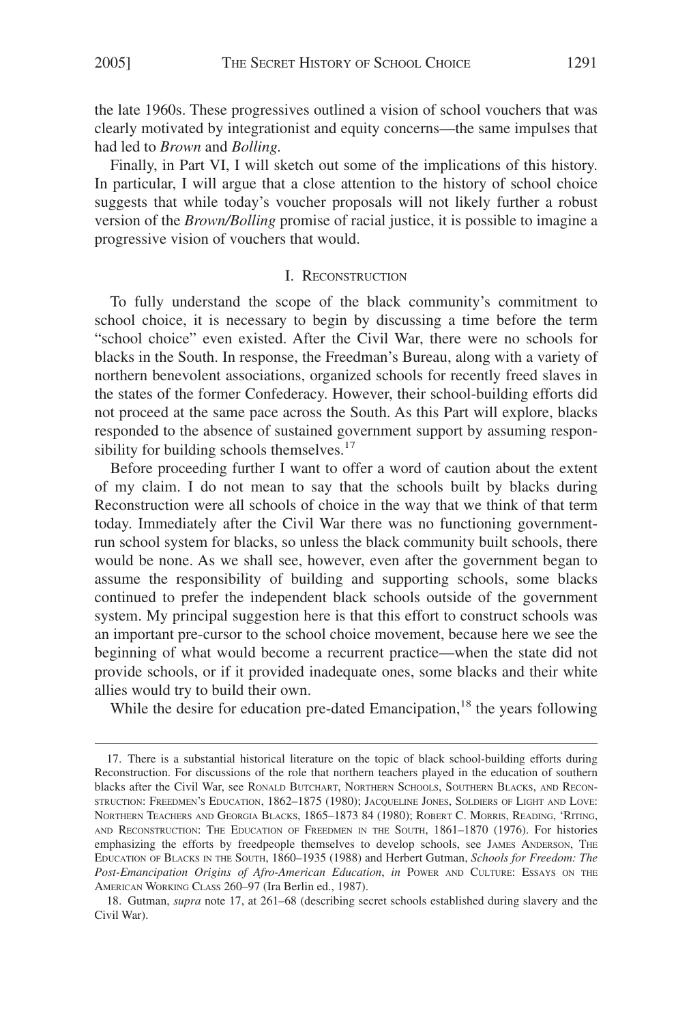the late 1960s. These progressives outlined a vision of school vouchers that was clearly motivated by integrationist and equity concerns—the same impulses that had led to *Brown* and *Bolling.*

Finally, in Part VI, I will sketch out some of the implications of this history. In particular, I will argue that a close attention to the history of school choice suggests that while today's voucher proposals will not likely further a robust version of the *Brown/Bolling* promise of racial justice, it is possible to imagine a progressive vision of vouchers that would.

#### I. RECONSTRUCTION

To fully understand the scope of the black community's commitment to school choice, it is necessary to begin by discussing a time before the term "school choice" even existed. After the Civil War, there were no schools for blacks in the South. In response, the Freedman's Bureau, along with a variety of northern benevolent associations, organized schools for recently freed slaves in the states of the former Confederacy. However, their school-building efforts did not proceed at the same pace across the South. As this Part will explore, blacks responded to the absence of sustained government support by assuming responsibility for building schools themselves. $17$ 

Before proceeding further I want to offer a word of caution about the extent of my claim. I do not mean to say that the schools built by blacks during Reconstruction were all schools of choice in the way that we think of that term today. Immediately after the Civil War there was no functioning governmentrun school system for blacks, so unless the black community built schools, there would be none. As we shall see, however, even after the government began to assume the responsibility of building and supporting schools, some blacks continued to prefer the independent black schools outside of the government system. My principal suggestion here is that this effort to construct schools was an important pre-cursor to the school choice movement, because here we see the beginning of what would become a recurrent practice—when the state did not provide schools, or if it provided inadequate ones, some blacks and their white allies would try to build their own.

While the desire for education pre-dated Emancipation,<sup>18</sup> the years following

<sup>17.</sup> There is a substantial historical literature on the topic of black school-building efforts during Reconstruction. For discussions of the role that northern teachers played in the education of southern blacks after the Civil War, see RONALD BUTCHART, NORTHERN SCHOOLS, SOUTHERN BLACKS, AND RECON-STRUCTION: FREEDMEN'S EDUCATION, 1862–1875 (1980); JACQUELINE JONES, SOLDIERS OF LIGHT AND LOVE: NORTHERN TEACHERS AND GEORGIA BLACKS, 1865–1873 84 (1980); ROBERT C. MORRIS, READING, 'RITING, AND RECONSTRUCTION: THE EDUCATION OF FREEDMEN IN THE SOUTH, 1861–1870 (1976). For histories emphasizing the efforts by freedpeople themselves to develop schools, see JAMES ANDERSON, THE EDUCATION OF BLACKS IN THE SOUTH, 1860–1935 (1988) and Herbert Gutman, *Schools for Freedom: The Post-Emancipation Origins of Afro-American Education*, *in* POWER AND CULTURE: ESSAYS ON THE AMERICAN WORKING CLASS 260–97 (Ira Berlin ed., 1987).

<sup>18.</sup> Gutman, *supra* note 17, at 261–68 (describing secret schools established during slavery and the Civil War).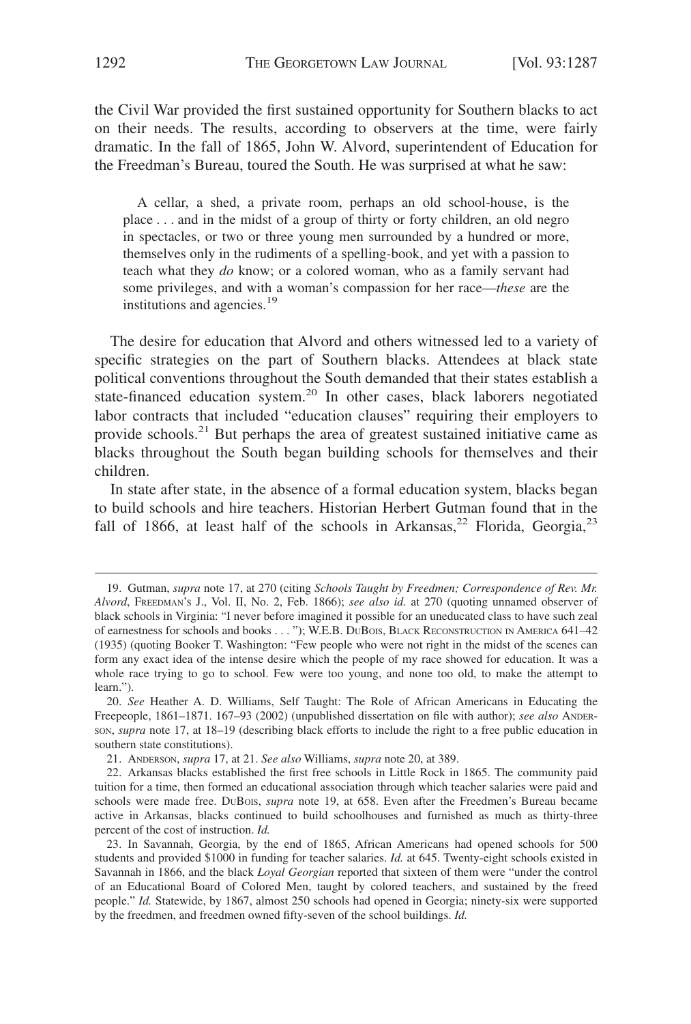the Civil War provided the first sustained opportunity for Southern blacks to act on their needs. The results, according to observers at the time, were fairly dramatic. In the fall of 1865, John W. Alvord, superintendent of Education for the Freedman's Bureau, toured the South. He was surprised at what he saw:

A cellar, a shed, a private room, perhaps an old school-house, is the place . . . and in the midst of a group of thirty or forty children, an old negro in spectacles, or two or three young men surrounded by a hundred or more, themselves only in the rudiments of a spelling-book, and yet with a passion to teach what they *do* know; or a colored woman, who as a family servant had some privileges, and with a woman's compassion for her race—*these* are the institutions and agencies.19

The desire for education that Alvord and others witnessed led to a variety of specific strategies on the part of Southern blacks. Attendees at black state political conventions throughout the South demanded that their states establish a state-financed education system.<sup>20</sup> In other cases, black laborers negotiated labor contracts that included "education clauses" requiring their employers to provide schools.<sup>21</sup> But perhaps the area of greatest sustained initiative came as blacks throughout the South began building schools for themselves and their children.

In state after state, in the absence of a formal education system, blacks began to build schools and hire teachers. Historian Herbert Gutman found that in the fall of 1866, at least half of the schools in Arkansas,<sup>22</sup> Florida, Georgia,<sup>23</sup>

<sup>19.</sup> Gutman, *supra* note 17, at 270 (citing *Schools Taught by Freedmen; Correspondence of Rev. Mr. Alvord*, FREEDMAN'S J., Vol. II, No. 2, Feb. 1866); *see also id.* at 270 (quoting unnamed observer of black schools in Virginia: "I never before imagined it possible for an uneducated class to have such zeal of earnestness for schools and books . . . "); W.E.B. DUBOIS, BLACK RECONSTRUCTION IN AMERICA 641–42 (1935) (quoting Booker T. Washington: "Few people who were not right in the midst of the scenes can form any exact idea of the intense desire which the people of my race showed for education. It was a whole race trying to go to school. Few were too young, and none too old, to make the attempt to learn.").

<sup>20.</sup> *See* Heather A. D. Williams, Self Taught: The Role of African Americans in Educating the Freepeople, 1861–1871. 167–93 (2002) (unpublished dissertation on file with author); *see also* ANDER-SON, *supra* note 17, at 18–19 (describing black efforts to include the right to a free public education in southern state constitutions).

<sup>21.</sup> ANDERSON, *supra* 17, at 21. *See also* Williams, *supra* note 20, at 389.

<sup>22.</sup> Arkansas blacks established the first free schools in Little Rock in 1865. The community paid tuition for a time, then formed an educational association through which teacher salaries were paid and schools were made free. DUBOIS, *supra* note 19, at 658. Even after the Freedmen's Bureau became active in Arkansas, blacks continued to build schoolhouses and furnished as much as thirty-three percent of the cost of instruction. *Id.*

<sup>23.</sup> In Savannah, Georgia, by the end of 1865, African Americans had opened schools for 500 students and provided \$1000 in funding for teacher salaries. *Id.* at 645. Twenty-eight schools existed in Savannah in 1866, and the black *Loyal Georgian* reported that sixteen of them were "under the control of an Educational Board of Colored Men, taught by colored teachers, and sustained by the freed people." *Id.* Statewide, by 1867, almost 250 schools had opened in Georgia; ninety-six were supported by the freedmen, and freedmen owned fifty-seven of the school buildings. *Id.*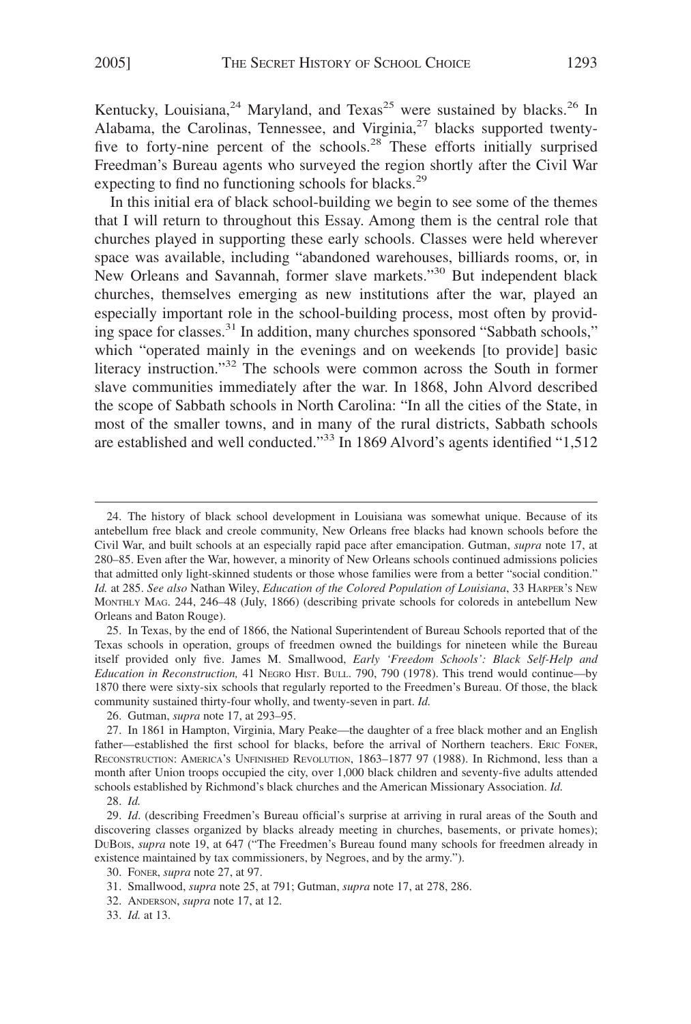Kentucky, Louisiana,<sup>24</sup> Maryland, and Texas<sup>25</sup> were sustained by blacks.<sup>26</sup> In Alabama, the Carolinas, Tennessee, and Virginia, $27$  blacks supported twentyfive to forty-nine percent of the schools.<sup>28</sup> These efforts initially surprised Freedman's Bureau agents who surveyed the region shortly after the Civil War expecting to find no functioning schools for blacks.<sup>29</sup>

In this initial era of black school-building we begin to see some of the themes that I will return to throughout this Essay. Among them is the central role that churches played in supporting these early schools. Classes were held wherever space was available, including "abandoned warehouses, billiards rooms, or, in New Orleans and Savannah, former slave markets."30 But independent black churches, themselves emerging as new institutions after the war, played an especially important role in the school-building process, most often by providing space for classes.<sup>31</sup> In addition, many churches sponsored "Sabbath schools," which "operated mainly in the evenings and on weekends [to provide] basic literacy instruction."32 The schools were common across the South in former slave communities immediately after the war. In 1868, John Alvord described the scope of Sabbath schools in North Carolina: "In all the cities of the State, in most of the smaller towns, and in many of the rural districts, Sabbath schools are established and well conducted."<sup>33</sup> In 1869 Alvord's agents identified "1,512"

26. Gutman, *supra* note 17, at 293–95.

<sup>24.</sup> The history of black school development in Louisiana was somewhat unique. Because of its antebellum free black and creole community, New Orleans free blacks had known schools before the Civil War, and built schools at an especially rapid pace after emancipation. Gutman, *supra* note 17, at 280–85. Even after the War, however, a minority of New Orleans schools continued admissions policies that admitted only light-skinned students or those whose families were from a better "social condition." *Id.* at 285. *See also* Nathan Wiley, *Education of the Colored Population of Louisiana*, 33 HARPER'S NEW MONTHLY MAG. 244, 246–48 (July, 1866) (describing private schools for coloreds in antebellum New Orleans and Baton Rouge).

<sup>25.</sup> In Texas, by the end of 1866, the National Superintendent of Bureau Schools reported that of the Texas schools in operation, groups of freedmen owned the buildings for nineteen while the Bureau itself provided only five. James M. Smallwood, *Early 'Freedom Schools': Black Self-Help and Education in Reconstruction,* 41 NEGRO HIST. BULL. 790, 790 (1978). This trend would continue—by 1870 there were sixty-six schools that regularly reported to the Freedmen's Bureau. Of those, the black community sustained thirty-four wholly, and twenty-seven in part. *Id.*

<sup>27.</sup> In 1861 in Hampton, Virginia, Mary Peake—the daughter of a free black mother and an English father—established the first school for blacks, before the arrival of Northern teachers. ERIC FONER, RECONSTRUCTION: AMERICA'S UNFINISHED REVOLUTION, 1863–1877 97 (1988). In Richmond, less than a month after Union troops occupied the city, over 1,000 black children and seventy-five adults attended schools established by Richmond's black churches and the American Missionary Association. *Id.*

<sup>28.</sup> *Id.*

<sup>29.</sup> *Id*. (describing Freedmen's Bureau official's surprise at arriving in rural areas of the South and discovering classes organized by blacks already meeting in churches, basements, or private homes); DUBOIS, *supra* note 19, at 647 ("The Freedmen's Bureau found many schools for freedmen already in existence maintained by tax commissioners, by Negroes, and by the army.").

<sup>30.</sup> FONER, *supra* note 27, at 97.

<sup>31.</sup> Smallwood, *supra* note 25, at 791; Gutman, *supra* note 17, at 278, 286.

<sup>32.</sup> ANDERSON, *supra* note 17, at 12.

<sup>33.</sup> *Id.* at 13.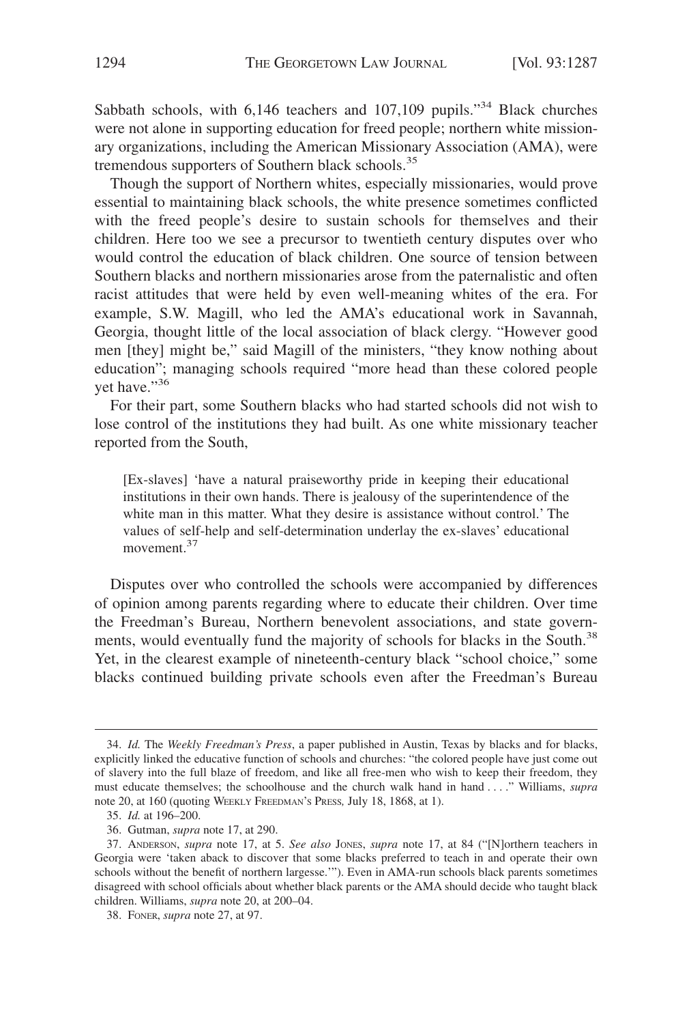Sabbath schools, with 6,146 teachers and 107,109 pupils."<sup>34</sup> Black churches were not alone in supporting education for freed people; northern white missionary organizations, including the American Missionary Association (AMA), were tremendous supporters of Southern black schools.<sup>35</sup>

Though the support of Northern whites, especially missionaries, would prove essential to maintaining black schools, the white presence sometimes conflicted with the freed people's desire to sustain schools for themselves and their children. Here too we see a precursor to twentieth century disputes over who would control the education of black children. One source of tension between Southern blacks and northern missionaries arose from the paternalistic and often racist attitudes that were held by even well-meaning whites of the era. For example, S.W. Magill, who led the AMA's educational work in Savannah, Georgia, thought little of the local association of black clergy. "However good men [they] might be," said Magill of the ministers, "they know nothing about education"; managing schools required "more head than these colored people yet have."<sup>36</sup>

For their part, some Southern blacks who had started schools did not wish to lose control of the institutions they had built. As one white missionary teacher reported from the South,

[Ex-slaves] 'have a natural praiseworthy pride in keeping their educational institutions in their own hands. There is jealousy of the superintendence of the white man in this matter. What they desire is assistance without control.' The values of self-help and self-determination underlay the ex-slaves' educational movement.<sup>37</sup>

Disputes over who controlled the schools were accompanied by differences of opinion among parents regarding where to educate their children. Over time the Freedman's Bureau, Northern benevolent associations, and state governments, would eventually fund the majority of schools for blacks in the South.<sup>38</sup> Yet, in the clearest example of nineteenth-century black "school choice," some blacks continued building private schools even after the Freedman's Bureau

<sup>34.</sup> *Id.* The *Weekly Freedman's Press*, a paper published in Austin, Texas by blacks and for blacks, explicitly linked the educative function of schools and churches: "the colored people have just come out of slavery into the full blaze of freedom, and like all free-men who wish to keep their freedom, they must educate themselves; the schoolhouse and the church walk hand in hand . . . ." Williams, *supra* note 20, at 160 (quoting WEEKLY FREEDMAN'S PRESS*,* July 18, 1868, at 1).

<sup>35.</sup> *Id.* at 196–200.

<sup>36.</sup> Gutman, *supra* note 17, at 290.

<sup>37.</sup> ANDERSON, *supra* note 17, at 5. *See also* JONES, *supra* note 17, at 84 ("[N]orthern teachers in Georgia were 'taken aback to discover that some blacks preferred to teach in and operate their own schools without the benefit of northern largesse.'"). Even in AMA-run schools black parents sometimes disagreed with school officials about whether black parents or the AMA should decide who taught black children. Williams, *supra* note 20, at 200–04.

<sup>38.</sup> FONER, *supra* note 27, at 97.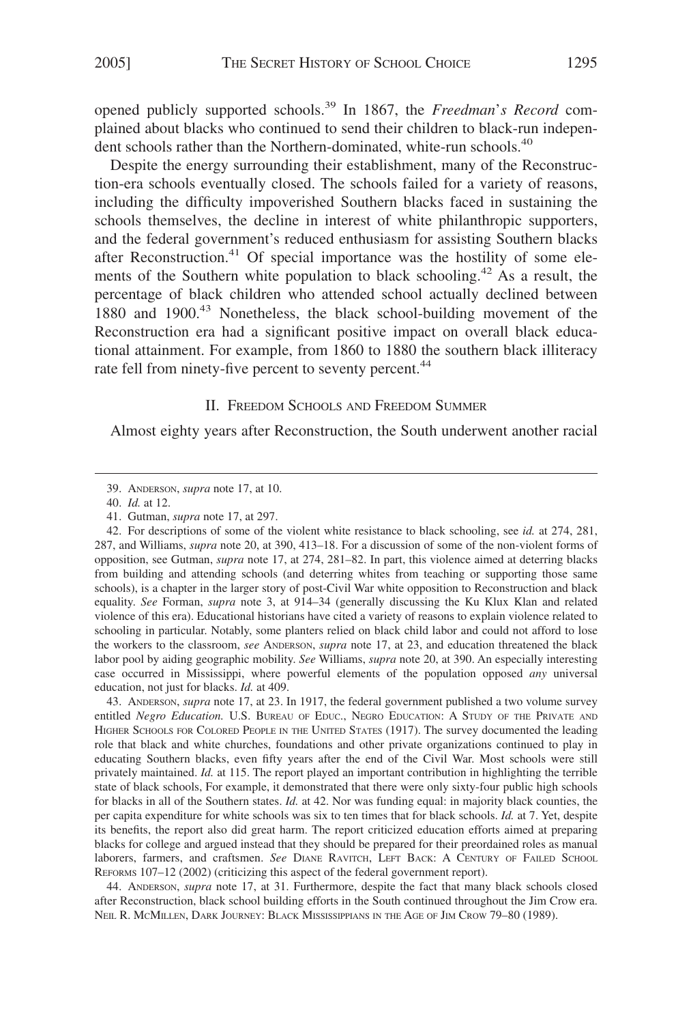opened publicly supported schools.39 In 1867, the *Freedman*'*s Record* complained about blacks who continued to send their children to black-run independent schools rather than the Northern-dominated, white-run schools.<sup>40</sup>

Despite the energy surrounding their establishment, many of the Reconstruction-era schools eventually closed. The schools failed for a variety of reasons, including the difficulty impoverished Southern blacks faced in sustaining the schools themselves, the decline in interest of white philanthropic supporters, and the federal government's reduced enthusiasm for assisting Southern blacks after Reconstruction.<sup>41</sup> Of special importance was the hostility of some elements of the Southern white population to black schooling.<sup>42</sup> As a result, the percentage of black children who attended school actually declined between 1880 and 1900.<sup>43</sup> Nonetheless, the black school-building movement of the Reconstruction era had a significant positive impact on overall black educational attainment. For example, from 1860 to 1880 the southern black illiteracy rate fell from ninety-five percent to seventy percent.<sup>44</sup>

#### II. FREEDOM SCHOOLS AND FREEDOM SUMMER

Almost eighty years after Reconstruction, the South underwent another racial

43. ANDERSON, *supra* note 17, at 23. In 1917, the federal government published a two volume survey entitled *Negro Education*. U.S. BUREAU OF EDUC., NEGRO EDUCATION: A STUDY OF THE PRIVATE AND HIGHER SCHOOLS FOR COLORED PEOPLE IN THE UNITED STATES (1917). The survey documented the leading role that black and white churches, foundations and other private organizations continued to play in educating Southern blacks, even fifty years after the end of the Civil War. Most schools were still privately maintained. *Id.* at 115. The report played an important contribution in highlighting the terrible state of black schools, For example, it demonstrated that there were only sixty-four public high schools for blacks in all of the Southern states. *Id.* at 42. Nor was funding equal: in majority black counties, the per capita expenditure for white schools was six to ten times that for black schools. *Id.* at 7. Yet, despite its benefits, the report also did great harm. The report criticized education efforts aimed at preparing blacks for college and argued instead that they should be prepared for their preordained roles as manual laborers, farmers, and craftsmen. *See* DIANE RAVITCH, LEFT BACK: A CENTURY OF FAILED SCHOOL REFORMS 107–12 (2002) (criticizing this aspect of the federal government report).

44. ANDERSON, *supra* note 17, at 31. Furthermore, despite the fact that many black schools closed after Reconstruction, black school building efforts in the South continued throughout the Jim Crow era. NEIL R. MCMILLEN, DARK JOURNEY: BLACK MISSISSIPPIANS IN THE AGE OF JIM CROW 79–80 (1989).

<sup>39.</sup> ANDERSON, *supra* note 17, at 10.

<sup>40.</sup> *Id.* at 12.

<sup>41.</sup> Gutman, *supra* note 17, at 297.

<sup>42.</sup> For descriptions of some of the violent white resistance to black schooling, see *id.* at 274, 281, 287, and Williams, *supra* note 20, at 390, 413–18. For a discussion of some of the non-violent forms of opposition, see Gutman, *supra* note 17, at 274, 281–82. In part, this violence aimed at deterring blacks from building and attending schools (and deterring whites from teaching or supporting those same schools), is a chapter in the larger story of post-Civil War white opposition to Reconstruction and black equality. *See* Forman, *supra* note 3, at 914–34 (generally discussing the Ku Klux Klan and related violence of this era). Educational historians have cited a variety of reasons to explain violence related to schooling in particular. Notably, some planters relied on black child labor and could not afford to lose the workers to the classroom, *see* ANDERSON, *supra* note 17, at 23, and education threatened the black labor pool by aiding geographic mobility. *See* Williams, *supra* note 20, at 390. An especially interesting case occurred in Mississippi, where powerful elements of the population opposed *any* universal education, not just for blacks. *Id.* at 409.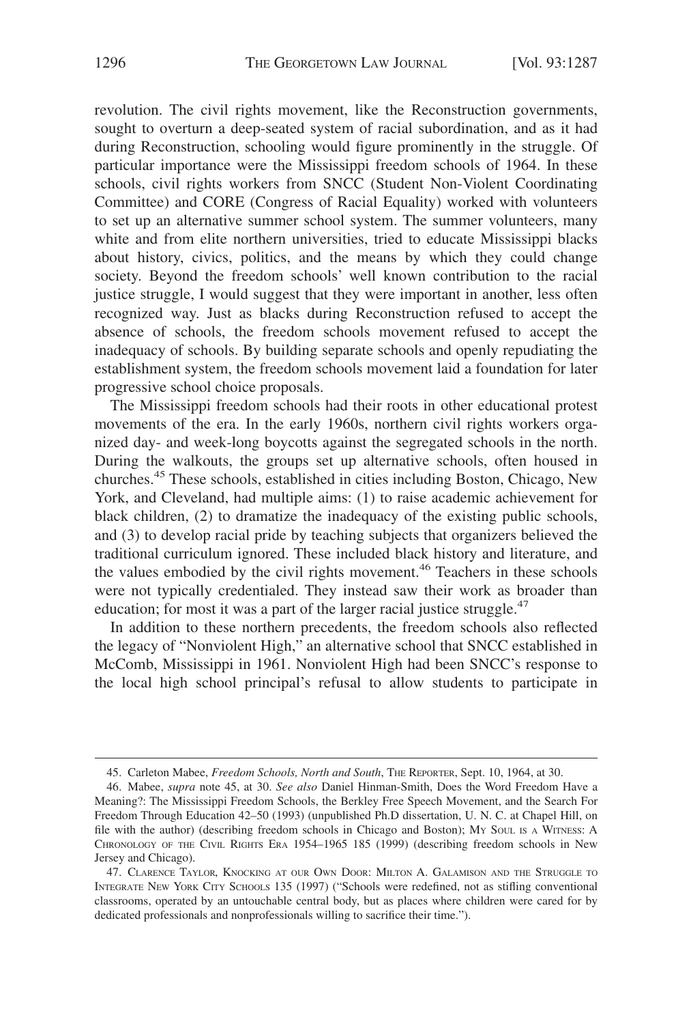revolution. The civil rights movement, like the Reconstruction governments, sought to overturn a deep-seated system of racial subordination, and as it had during Reconstruction, schooling would figure prominently in the struggle. Of particular importance were the Mississippi freedom schools of 1964. In these schools, civil rights workers from SNCC (Student Non-Violent Coordinating Committee) and CORE (Congress of Racial Equality) worked with volunteers to set up an alternative summer school system. The summer volunteers, many white and from elite northern universities, tried to educate Mississippi blacks about history, civics, politics, and the means by which they could change society. Beyond the freedom schools' well known contribution to the racial justice struggle, I would suggest that they were important in another, less often recognized way. Just as blacks during Reconstruction refused to accept the absence of schools, the freedom schools movement refused to accept the inadequacy of schools. By building separate schools and openly repudiating the establishment system, the freedom schools movement laid a foundation for later progressive school choice proposals.

The Mississippi freedom schools had their roots in other educational protest movements of the era. In the early 1960s, northern civil rights workers organized day- and week-long boycotts against the segregated schools in the north. During the walkouts, the groups set up alternative schools, often housed in churches.45 These schools, established in cities including Boston, Chicago, New York, and Cleveland, had multiple aims: (1) to raise academic achievement for black children, (2) to dramatize the inadequacy of the existing public schools, and (3) to develop racial pride by teaching subjects that organizers believed the traditional curriculum ignored. These included black history and literature, and the values embodied by the civil rights movement.<sup>46</sup> Teachers in these schools were not typically credentialed. They instead saw their work as broader than education; for most it was a part of the larger racial justice struggle. $47$ 

In addition to these northern precedents, the freedom schools also reflected the legacy of "Nonviolent High," an alternative school that SNCC established in McComb, Mississippi in 1961. Nonviolent High had been SNCC's response to the local high school principal's refusal to allow students to participate in

<sup>45.</sup> Carleton Mabee, *Freedom Schools, North and South*, THE REPORTER, Sept. 10, 1964, at 30.

<sup>46.</sup> Mabee, *supra* note 45, at 30. *See also* Daniel Hinman-Smith, Does the Word Freedom Have a Meaning?: The Mississippi Freedom Schools, the Berkley Free Speech Movement, and the Search For Freedom Through Education 42–50 (1993) (unpublished Ph.D dissertation, U. N. C. at Chapel Hill, on file with the author) (describing freedom schools in Chicago and Boston); MY SOUL IS A WITNESS: A CHRONOLOGY OF THE CIVIL RIGHTS ERA 1954–1965 185 (1999) (describing freedom schools in New Jersey and Chicago).

<sup>47.</sup> CLARENCE TAYLOR, KNOCKING AT OUR OWN DOOR: MILTON A. GALAMISON AND THE STRUGGLE TO INTEGRATE NEW YORK CITY SCHOOLS 135 (1997) ("Schools were redefined, not as stifling conventional classrooms, operated by an untouchable central body, but as places where children were cared for by dedicated professionals and nonprofessionals willing to sacrifice their time.").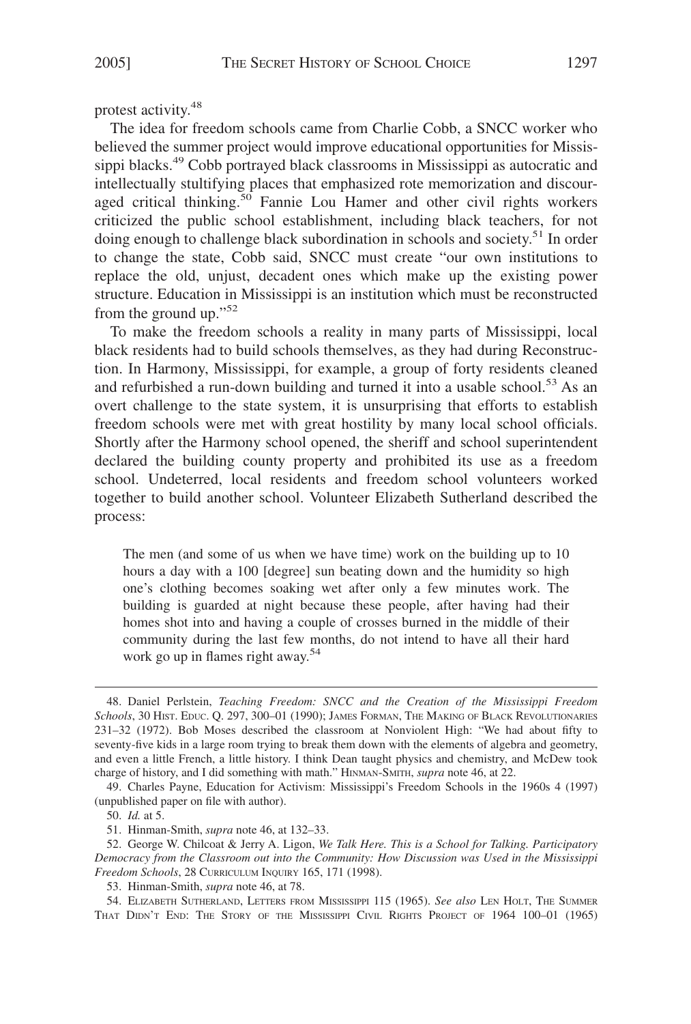protest activity.48

The idea for freedom schools came from Charlie Cobb, a SNCC worker who believed the summer project would improve educational opportunities for Mississippi blacks.49 Cobb portrayed black classrooms in Mississippi as autocratic and intellectually stultifying places that emphasized rote memorization and discouraged critical thinking.<sup>50</sup> Fannie Lou Hamer and other civil rights workers criticized the public school establishment, including black teachers, for not doing enough to challenge black subordination in schools and society.<sup>51</sup> In order to change the state, Cobb said, SNCC must create "our own institutions to replace the old, unjust, decadent ones which make up the existing power structure. Education in Mississippi is an institution which must be reconstructed from the ground up."<sup>52</sup>

To make the freedom schools a reality in many parts of Mississippi, local black residents had to build schools themselves, as they had during Reconstruction. In Harmony, Mississippi, for example, a group of forty residents cleaned and refurbished a run-down building and turned it into a usable school.<sup>53</sup> As an overt challenge to the state system, it is unsurprising that efforts to establish freedom schools were met with great hostility by many local school officials. Shortly after the Harmony school opened, the sheriff and school superintendent declared the building county property and prohibited its use as a freedom school. Undeterred, local residents and freedom school volunteers worked together to build another school. Volunteer Elizabeth Sutherland described the process:

The men (and some of us when we have time) work on the building up to 10 hours a day with a 100 [degree] sun beating down and the humidity so high one's clothing becomes soaking wet after only a few minutes work. The building is guarded at night because these people, after having had their homes shot into and having a couple of crosses burned in the middle of their community during the last few months, do not intend to have all their hard work go up in flames right away.<sup>54</sup>

50. *Id.* at 5.

53. Hinman-Smith, *supra* note 46, at 78.

54. ELIZABETH SUTHERLAND, LETTERS FROM MISSISSIPPI 115 (1965). *See also* LEN HOLT, THE SUMMER THAT DIDN'T END: THE STORY OF THE MISSISSIPPI CIVIL RIGHTS PROJECT OF 1964 100-01 (1965)

<sup>48.</sup> Daniel Perlstein, *Teaching Freedom: SNCC and the Creation of the Mississippi Freedom Schools*, 30 HIST. EDUC. Q. 297, 300–01 (1990); JAMES FORMAN, THE MAKING OF BLACK REVOLUTIONARIES 231–32 (1972). Bob Moses described the classroom at Nonviolent High: "We had about fifty to seventy-five kids in a large room trying to break them down with the elements of algebra and geometry, and even a little French, a little history. I think Dean taught physics and chemistry, and McDew took charge of history, and I did something with math." HINMAN-SMITH, *supra* note 46, at 22.

<sup>49.</sup> Charles Payne, Education for Activism: Mississippi's Freedom Schools in the 1960s 4 (1997) (unpublished paper on file with author).

<sup>51.</sup> Hinman-Smith, *supra* note 46, at 132–33.

<sup>52.</sup> George W. Chilcoat & Jerry A. Ligon, *We Talk Here. This is a School for Talking. Participatory Democracy from the Classroom out into the Community: How Discussion was Used in the Mississippi Freedom Schools*, 28 CURRICULUM INQUIRY 165, 171 (1998).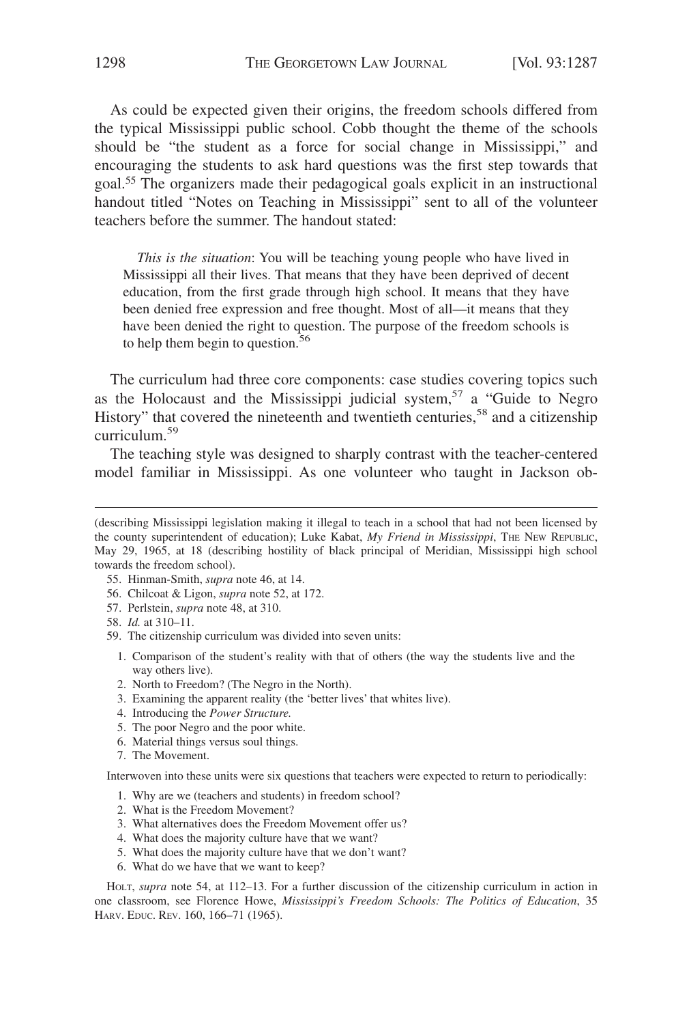As could be expected given their origins, the freedom schools differed from the typical Mississippi public school. Cobb thought the theme of the schools should be "the student as a force for social change in Mississippi," and encouraging the students to ask hard questions was the first step towards that goal.55 The organizers made their pedagogical goals explicit in an instructional handout titled "Notes on Teaching in Mississippi" sent to all of the volunteer teachers before the summer. The handout stated:

*This is the situation*: You will be teaching young people who have lived in Mississippi all their lives. That means that they have been deprived of decent education, from the first grade through high school. It means that they have been denied free expression and free thought. Most of all—it means that they have been denied the right to question. The purpose of the freedom schools is to help them begin to question.<sup>56</sup>

The curriculum had three core components: case studies covering topics such as the Holocaust and the Mississippi judicial system,<sup>57</sup> a "Guide to Negro History" that covered the nineteenth and twentieth centuries,<sup>58</sup> and a citizenship curriculum.59

The teaching style was designed to sharply contrast with the teacher-centered model familiar in Mississippi. As one volunteer who taught in Jackson ob-

- 55. Hinman-Smith, *supra* note 46, at 14.
- 56. Chilcoat & Ligon, *supra* note 52, at 172.
- 57. Perlstein, *supra* note 48, at 310.
- 58. *Id.* at 310–11.
- 59. The citizenship curriculum was divided into seven units:
	- 1. Comparison of the student's reality with that of others (the way the students live and the way others live).
	- 2. North to Freedom? (The Negro in the North).
	- 3. Examining the apparent reality (the 'better lives' that whites live).
	- 4. Introducing the *Power Structure.*
	- 5. The poor Negro and the poor white.
	- 6. Material things versus soul things.
	- 7. The Movement.

Interwoven into these units were six questions that teachers were expected to return to periodically:

- 1. Why are we (teachers and students) in freedom school?
- 2. What is the Freedom Movement?
- 3. What alternatives does the Freedom Movement offer us?
- 4. What does the majority culture have that we want?
- 5. What does the majority culture have that we don't want?
- 6. What do we have that we want to keep?

HOLT, *supra* note 54, at 112–13. For a further discussion of the citizenship curriculum in action in one classroom, see Florence Howe, *Mississippi's Freedom Schools: The Politics of Education*, 35 HARV. EDUC. REV. 160, 166–71 (1965).

<sup>(</sup>describing Mississippi legislation making it illegal to teach in a school that had not been licensed by the county superintendent of education); Luke Kabat, *My Friend in Mississippi*, THE NEW REPUBLIC, May 29, 1965, at 18 (describing hostility of black principal of Meridian, Mississippi high school towards the freedom school).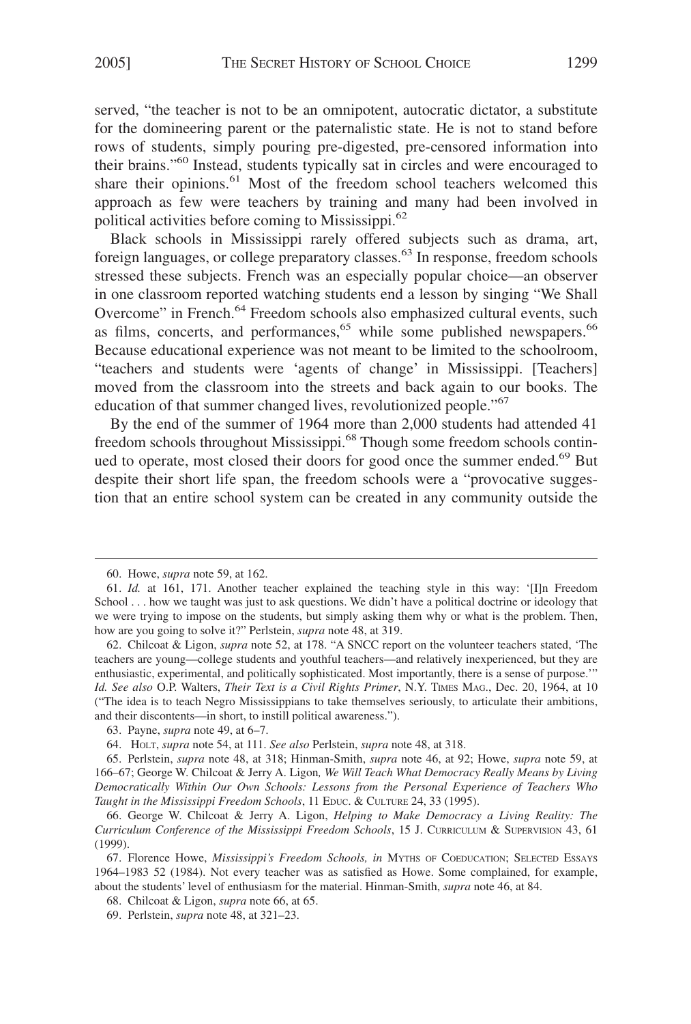served, "the teacher is not to be an omnipotent, autocratic dictator, a substitute for the domineering parent or the paternalistic state. He is not to stand before rows of students, simply pouring pre-digested, pre-censored information into their brains."60 Instead, students typically sat in circles and were encouraged to share their opinions.<sup>61</sup> Most of the freedom school teachers welcomed this approach as few were teachers by training and many had been involved in political activities before coming to Mississippi.<sup>62</sup>

Black schools in Mississippi rarely offered subjects such as drama, art, foreign languages, or college preparatory classes.<sup>63</sup> In response, freedom schools stressed these subjects. French was an especially popular choice—an observer in one classroom reported watching students end a lesson by singing "We Shall Overcome" in French.<sup>64</sup> Freedom schools also emphasized cultural events, such as films, concerts, and performances,<sup>65</sup> while some published newspapers.<sup>66</sup> Because educational experience was not meant to be limited to the schoolroom, "teachers and students were 'agents of change' in Mississippi. [Teachers] moved from the classroom into the streets and back again to our books. The education of that summer changed lives, revolutionized people."<sup>67</sup>

By the end of the summer of 1964 more than 2,000 students had attended 41 freedom schools throughout Mississippi.<sup>68</sup> Though some freedom schools continued to operate, most closed their doors for good once the summer ended.<sup>69</sup> But despite their short life span, the freedom schools were a "provocative suggestion that an entire school system can be created in any community outside the

<sup>60.</sup> Howe, *supra* note 59, at 162.

<sup>61.</sup> *Id.* at 161, 171. Another teacher explained the teaching style in this way: '[I]n Freedom School . . . how we taught was just to ask questions. We didn't have a political doctrine or ideology that we were trying to impose on the students, but simply asking them why or what is the problem. Then, how are you going to solve it?" Perlstein, *supra* note 48, at 319.

<sup>62.</sup> Chilcoat & Ligon, *supra* note 52, at 178. "A SNCC report on the volunteer teachers stated, 'The teachers are young—college students and youthful teachers—and relatively inexperienced, but they are enthusiastic, experimental, and politically sophisticated. Most importantly, there is a sense of purpose.'" *Id. See also* O.P. Walters, *Their Text is a Civil Rights Primer*, N.Y. TIMES MAG., Dec. 20, 1964, at 10 ("The idea is to teach Negro Mississippians to take themselves seriously, to articulate their ambitions, and their discontents—in short, to instill political awareness.").

<sup>63.</sup> Payne, *supra* note 49, at 6–7.

<sup>64.</sup> HOLT, *supra* note 54, at 111. *See also* Perlstein, *supra* note 48, at 318.

<sup>65.</sup> Perlstein, *supra* note 48, at 318; Hinman-Smith, *supra* note 46, at 92; Howe, *supra* note 59, at 166–67; George W. Chilcoat & Jerry A. Ligon*, We Will Teach What Democracy Really Means by Living Democratically Within Our Own Schools: Lessons from the Personal Experience of Teachers Who Taught in the Mississippi Freedom Schools*, 11 EDUC. & CULTURE 24, 33 (1995).

<sup>66.</sup> George W. Chilcoat & Jerry A. Ligon, *Helping to Make Democracy a Living Reality: The Curriculum Conference of the Mississippi Freedom Schools*, 15 J. CURRICULUM & SUPERVISION 43, 61 (1999).

<sup>67.</sup> Florence Howe, *Mississippi's Freedom Schools, in* MYTHS OF COEDUCATION; SELECTED ESSAYS 1964–1983 52 (1984). Not every teacher was as satisfied as Howe. Some complained, for example, about the students' level of enthusiasm for the material. Hinman-Smith, *supra* note 46, at 84.

<sup>68.</sup> Chilcoat & Ligon, *supra* note 66, at 65.

<sup>69.</sup> Perlstein, *supra* note 48, at 321–23.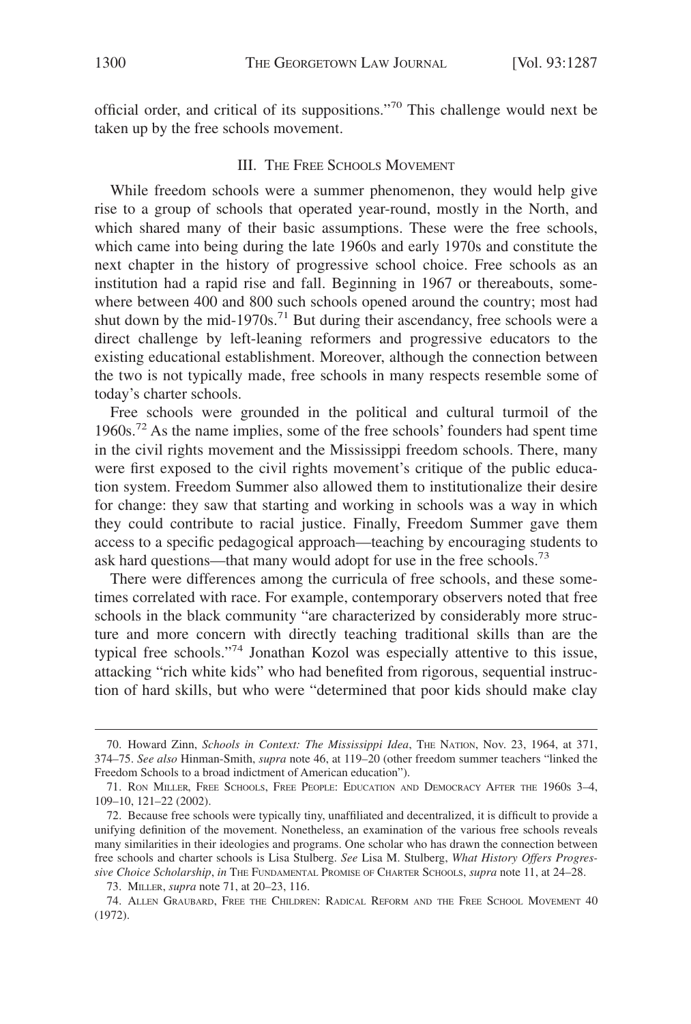official order, and critical of its suppositions."70 This challenge would next be taken up by the free schools movement.

## III. THE FREE SCHOOLS MOVEMENT

While freedom schools were a summer phenomenon, they would help give rise to a group of schools that operated year-round, mostly in the North, and which shared many of their basic assumptions. These were the free schools, which came into being during the late 1960s and early 1970s and constitute the next chapter in the history of progressive school choice. Free schools as an institution had a rapid rise and fall. Beginning in 1967 or thereabouts, somewhere between 400 and 800 such schools opened around the country; most had shut down by the mid-1970s.<sup>71</sup> But during their ascendancy, free schools were a direct challenge by left-leaning reformers and progressive educators to the existing educational establishment. Moreover, although the connection between the two is not typically made, free schools in many respects resemble some of today's charter schools.

Free schools were grounded in the political and cultural turmoil of the  $1960s<sup>72</sup>$  As the name implies, some of the free schools' founders had spent time in the civil rights movement and the Mississippi freedom schools. There, many were first exposed to the civil rights movement's critique of the public education system. Freedom Summer also allowed them to institutionalize their desire for change: they saw that starting and working in schools was a way in which they could contribute to racial justice. Finally, Freedom Summer gave them access to a specific pedagogical approach—teaching by encouraging students to ask hard questions—that many would adopt for use in the free schools.<sup>73</sup>

There were differences among the curricula of free schools, and these sometimes correlated with race. For example, contemporary observers noted that free schools in the black community "are characterized by considerably more structure and more concern with directly teaching traditional skills than are the typical free schools."74 Jonathan Kozol was especially attentive to this issue, attacking "rich white kids" who had benefited from rigorous, sequential instruction of hard skills, but who were "determined that poor kids should make clay

<sup>70.</sup> Howard Zinn, *Schools in Context: The Mississippi Idea*, THE NATION, Nov. 23, 1964, at 371, 374–75. *See also* Hinman-Smith, *supra* note 46, at 119–20 (other freedom summer teachers "linked the Freedom Schools to a broad indictment of American education").

<sup>71.</sup> RON MILLER, FREE SCHOOLS, FREE PEOPLE: EDUCATION AND DEMOCRACY AFTER THE 1960S 3–4, 109–10, 121–22 (2002).

<sup>72.</sup> Because free schools were typically tiny, unaffiliated and decentralized, it is difficult to provide a unifying definition of the movement. Nonetheless, an examination of the various free schools reveals many similarities in their ideologies and programs. One scholar who has drawn the connection between free schools and charter schools is Lisa Stulberg. *See* Lisa M. Stulberg, *What History Offers Progressive Choice Scholarship*, *in* THE FUNDAMENTAL PROMISE OF CHARTER SCHOOLS, *supra* note 11, at 24–28.

<sup>73.</sup> MILLER, *supra* note 71, at 20–23, 116.

<sup>74.</sup> ALLEN GRAUBARD, FREE THE CHILDREN: RADICAL REFORM AND THE FREE SCHOOL MOVEMENT 40 (1972).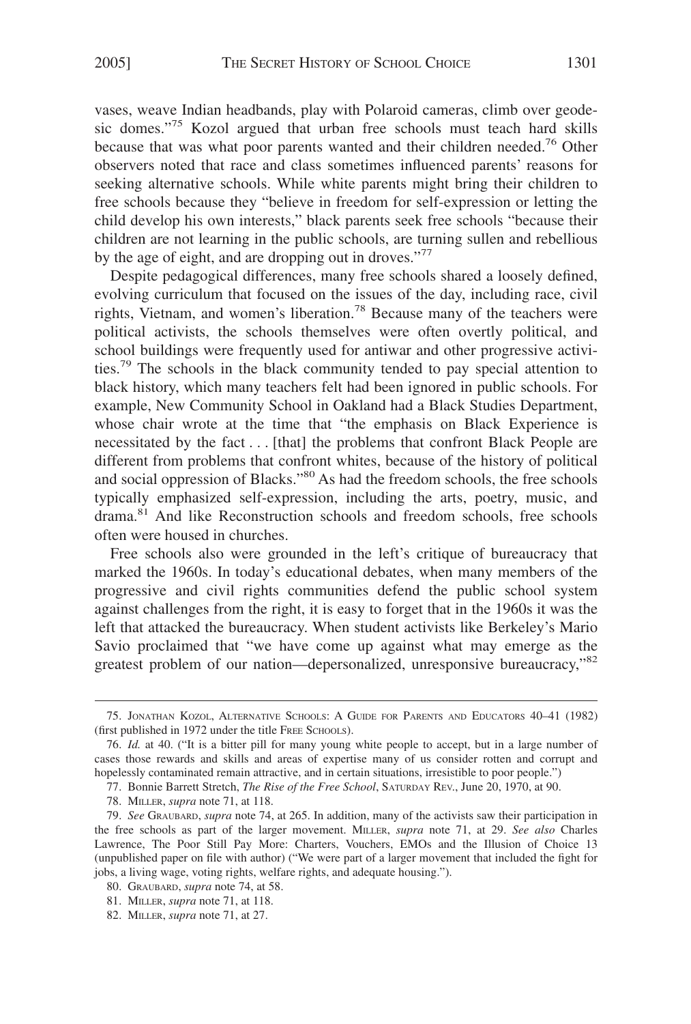vases, weave Indian headbands, play with Polaroid cameras, climb over geodesic domes."<sup>75</sup> Kozol argued that urban free schools must teach hard skills because that was what poor parents wanted and their children needed.<sup>76</sup> Other observers noted that race and class sometimes influenced parents' reasons for seeking alternative schools. While white parents might bring their children to free schools because they "believe in freedom for self-expression or letting the child develop his own interests," black parents seek free schools "because their children are not learning in the public schools, are turning sullen and rebellious by the age of eight, and are dropping out in droves."<sup>77</sup>

Despite pedagogical differences, many free schools shared a loosely defined, evolving curriculum that focused on the issues of the day, including race, civil rights, Vietnam, and women's liberation.78 Because many of the teachers were political activists, the schools themselves were often overtly political, and school buildings were frequently used for antiwar and other progressive activities.79 The schools in the black community tended to pay special attention to black history, which many teachers felt had been ignored in public schools. For example, New Community School in Oakland had a Black Studies Department, whose chair wrote at the time that "the emphasis on Black Experience is necessitated by the fact... [that] the problems that confront Black People are different from problems that confront whites, because of the history of political and social oppression of Blacks."<sup>80</sup> As had the freedom schools, the free schools typically emphasized self-expression, including the arts, poetry, music, and drama.<sup>81</sup> And like Reconstruction schools and freedom schools, free schools often were housed in churches.

Free schools also were grounded in the left's critique of bureaucracy that marked the 1960s. In today's educational debates, when many members of the progressive and civil rights communities defend the public school system against challenges from the right, it is easy to forget that in the 1960s it was the left that attacked the bureaucracy. When student activists like Berkeley's Mario Savio proclaimed that "we have come up against what may emerge as the greatest problem of our nation—depersonalized, unresponsive bureaucracy,"82

<sup>75.</sup> JONATHAN KOZOL, ALTERNATIVE SCHOOLS:AGUIDE FOR PARENTS AND EDUCATORS 40–41 (1982) (first published in 1972 under the title FREE SCHOOLS).

<sup>76.</sup> *Id.* at 40. ("It is a bitter pill for many young white people to accept, but in a large number of cases those rewards and skills and areas of expertise many of us consider rotten and corrupt and hopelessly contaminated remain attractive, and in certain situations, irresistible to poor people.")

<sup>77.</sup> Bonnie Barrett Stretch, *The Rise of the Free School*, SATURDAY REV., June 20, 1970, at 90.

<sup>78.</sup> MILLER, *supra* note 71, at 118.

<sup>79.</sup> *See* GRAUBARD, *supra* note 74, at 265. In addition, many of the activists saw their participation in the free schools as part of the larger movement. MILLER, *supra* note 71, at 29. *See also* Charles Lawrence, The Poor Still Pay More: Charters, Vouchers, EMOs and the Illusion of Choice 13 (unpublished paper on file with author) ("We were part of a larger movement that included the fight for jobs, a living wage, voting rights, welfare rights, and adequate housing.").

<sup>80.</sup> GRAUBARD, *supra* note 74, at 58.

<sup>81.</sup> MILLER, *supra* note 71, at 118.

<sup>82.</sup> MILLER, *supra* note 71, at 27.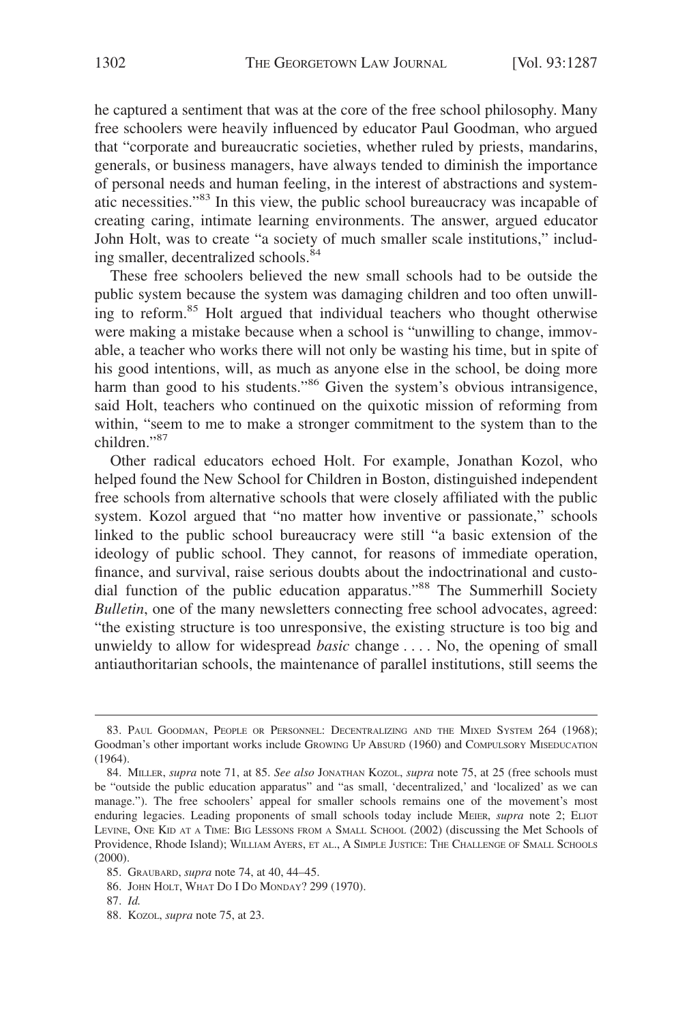he captured a sentiment that was at the core of the free school philosophy. Many free schoolers were heavily influenced by educator Paul Goodman, who argued that "corporate and bureaucratic societies, whether ruled by priests, mandarins, generals, or business managers, have always tended to diminish the importance of personal needs and human feeling, in the interest of abstractions and systematic necessities."83 In this view, the public school bureaucracy was incapable of creating caring, intimate learning environments. The answer, argued educator John Holt, was to create "a society of much smaller scale institutions," including smaller, decentralized schools.<sup>84</sup>

These free schoolers believed the new small schools had to be outside the public system because the system was damaging children and too often unwilling to reform.85 Holt argued that individual teachers who thought otherwise were making a mistake because when a school is "unwilling to change, immovable, a teacher who works there will not only be wasting his time, but in spite of his good intentions, will, as much as anyone else in the school, be doing more harm than good to his students."<sup>86</sup> Given the system's obvious intransigence, said Holt, teachers who continued on the quixotic mission of reforming from within, "seem to me to make a stronger commitment to the system than to the children."87

Other radical educators echoed Holt. For example, Jonathan Kozol, who helped found the New School for Children in Boston, distinguished independent free schools from alternative schools that were closely affiliated with the public system. Kozol argued that "no matter how inventive or passionate," schools linked to the public school bureaucracy were still "a basic extension of the ideology of public school. They cannot, for reasons of immediate operation, finance, and survival, raise serious doubts about the indoctrinational and custodial function of the public education apparatus."88 The Summerhill Society *Bulletin*, one of the many newsletters connecting free school advocates, agreed: "the existing structure is too unresponsive, the existing structure is too big and unwieldy to allow for widespread *basic* change . . . . No, the opening of small antiauthoritarian schools, the maintenance of parallel institutions, still seems the

86. JOHN HOLT, WHAT DO I DO MONDAY? 299 (1970).

<sup>83.</sup> PAUL GOODMAN, PEOPLE OR PERSONNEL: DECENTRALIZING AND THE MIXED SYSTEM 264 (1968); Goodman's other important works include GROWING UP ABSURD (1960) and COMPULSORY MISEDUCATION (1964).

<sup>84.</sup> MILLER, *supra* note 71, at 85. *See also* JONATHAN KOZOL, *supra* note 75, at 25 (free schools must be "outside the public education apparatus" and "as small, 'decentralized,' and 'localized' as we can manage."). The free schoolers' appeal for smaller schools remains one of the movement's most enduring legacies. Leading proponents of small schools today include MEIER, *supra* note 2; ELIOT LEVINE, ONE KID AT A TIME: BIG LESSONS FROM A SMALL SCHOOL (2002) (discussing the Met Schools of Providence, Rhode Island); WILLIAM AYERS, ET AL., A SIMPLE JUSTICE: THE CHALLENGE OF SMALL SCHOOLS (2000).

<sup>85.</sup> GRAUBARD, *supra* note 74, at 40, 44–45.

<sup>87.</sup> *Id.*

<sup>88.</sup> KOZOL, *supra* note 75, at 23.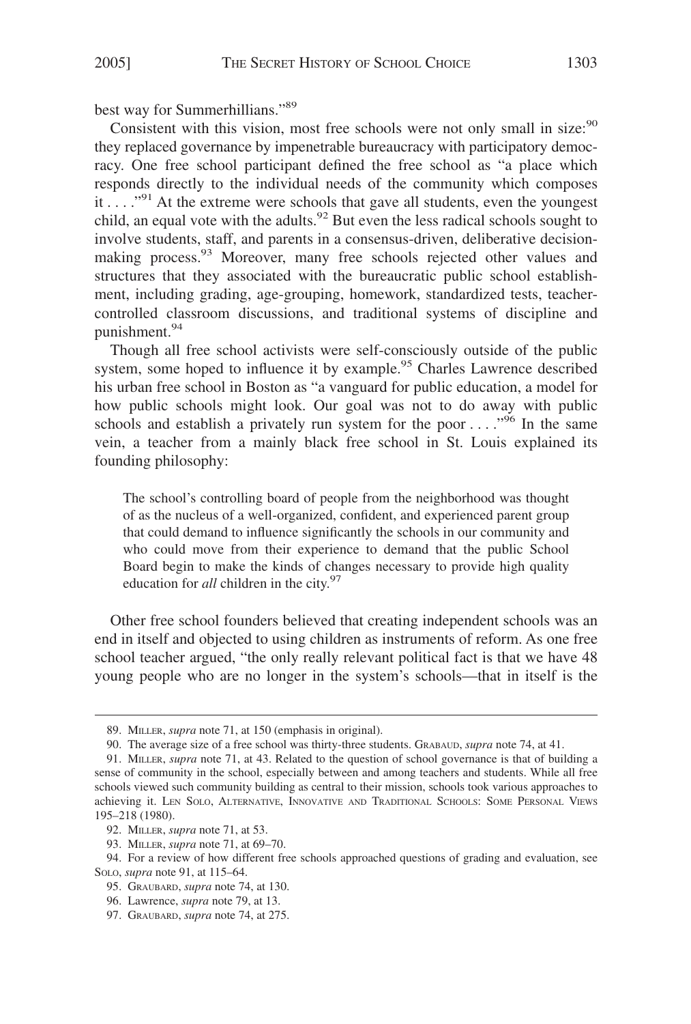best way for Summerhillians."89

Consistent with this vision, most free schools were not only small in size: $90$ they replaced governance by impenetrable bureaucracy with participatory democracy. One free school participant defined the free school as "a place which responds directly to the individual needs of the community which composes it  $\dots$   $\cdot$ <sup>91</sup>. At the extreme were schools that gave all students, even the youngest child, an equal vote with the adults.<sup>92</sup> But even the less radical schools sought to involve students, staff, and parents in a consensus-driven, deliberative decisionmaking process.<sup>93</sup> Moreover, many free schools rejected other values and structures that they associated with the bureaucratic public school establishment, including grading, age-grouping, homework, standardized tests, teachercontrolled classroom discussions, and traditional systems of discipline and punishment.<sup>94</sup>

Though all free school activists were self-consciously outside of the public system, some hoped to influence it by example.<sup>95</sup> Charles Lawrence described his urban free school in Boston as "a vanguard for public education, a model for how public schools might look. Our goal was not to do away with public schools and establish a privately run system for the poor  $\dots$ ."<sup>96</sup> In the same vein, a teacher from a mainly black free school in St. Louis explained its founding philosophy:

The school's controlling board of people from the neighborhood was thought of as the nucleus of a well-organized, confident, and experienced parent group that could demand to influence significantly the schools in our community and who could move from their experience to demand that the public School Board begin to make the kinds of changes necessary to provide high quality education for *all* children in the city.<sup>97</sup>

Other free school founders believed that creating independent schools was an end in itself and objected to using children as instruments of reform. As one free school teacher argued, "the only really relevant political fact is that we have 48 young people who are no longer in the system's schools—that in itself is the

<sup>89.</sup> MILLER, *supra* note 71, at 150 (emphasis in original).

<sup>90.</sup> The average size of a free school was thirty-three students. GRABAUD, *supra* note 74, at 41.

<sup>91.</sup> MILLER, *supra* note 71, at 43. Related to the question of school governance is that of building a sense of community in the school, especially between and among teachers and students. While all free schools viewed such community building as central to their mission, schools took various approaches to achieving it. LEN SOLO, ALTERNATIVE, INNOVATIVE AND TRADITIONAL SCHOOLS: SOME PERSONAL VIEWS 195–218 (1980).

<sup>92.</sup> MILLER, *supra* note 71, at 53.

<sup>93.</sup> MILLER, *supra* note 71, at 69–70.

<sup>94.</sup> For a review of how different free schools approached questions of grading and evaluation, see SOLO, *supra* note 91, at 115–64.

<sup>95.</sup> GRAUBARD, *supra* note 74, at 130.

<sup>96.</sup> Lawrence, *supra* note 79, at 13.

<sup>97.</sup> GRAUBARD, *supra* note 74, at 275.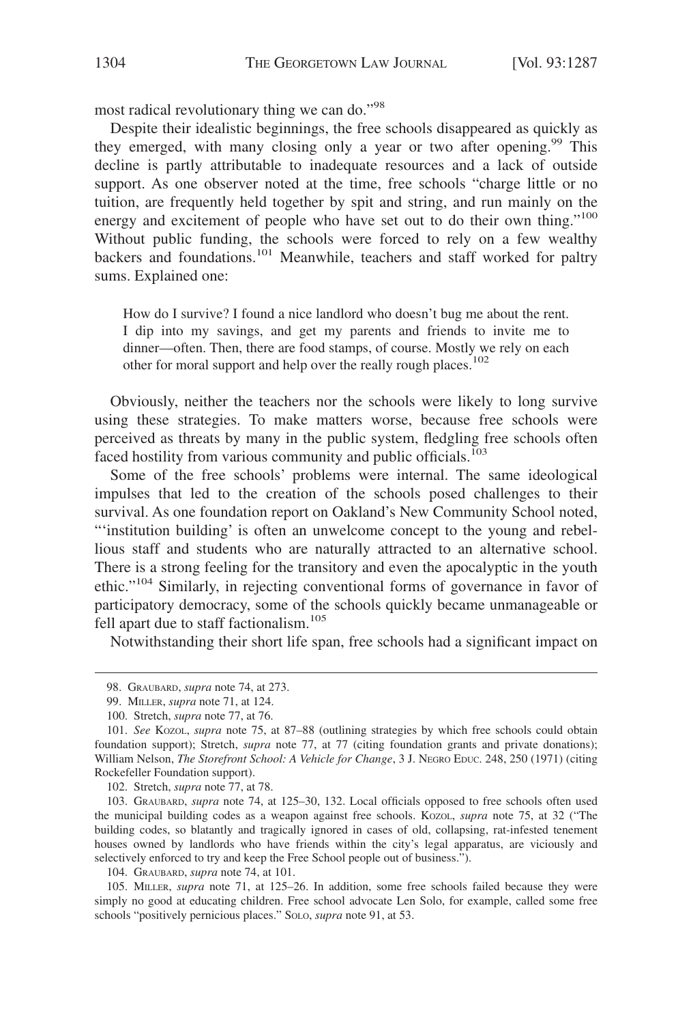most radical revolutionary thing we can do."<sup>98</sup>

Despite their idealistic beginnings, the free schools disappeared as quickly as they emerged, with many closing only a year or two after opening.<sup>99</sup> This decline is partly attributable to inadequate resources and a lack of outside support. As one observer noted at the time, free schools "charge little or no tuition, are frequently held together by spit and string, and run mainly on the energy and excitement of people who have set out to do their own thing."<sup>100</sup> Without public funding, the schools were forced to rely on a few wealthy backers and foundations.<sup>101</sup> Meanwhile, teachers and staff worked for paltry sums. Explained one:

How do I survive? I found a nice landlord who doesn't bug me about the rent. I dip into my savings, and get my parents and friends to invite me to dinner—often. Then, there are food stamps, of course. Mostly we rely on each other for moral support and help over the really rough places.<sup>102</sup>

Obviously, neither the teachers nor the schools were likely to long survive using these strategies. To make matters worse, because free schools were perceived as threats by many in the public system, fledgling free schools often faced hostility from various community and public officials.<sup>103</sup>

Some of the free schools' problems were internal. The same ideological impulses that led to the creation of the schools posed challenges to their survival. As one foundation report on Oakland's New Community School noted, "'institution building' is often an unwelcome concept to the young and rebellious staff and students who are naturally attracted to an alternative school. There is a strong feeling for the transitory and even the apocalyptic in the youth ethic."104 Similarly, in rejecting conventional forms of governance in favor of participatory democracy, some of the schools quickly became unmanageable or fell apart due to staff factionalism.<sup>105</sup>

Notwithstanding their short life span, free schools had a significant impact on

102. Stretch, *supra* note 77, at 78.

103. GRAUBARD, *supra* note 74, at 125–30, 132. Local officials opposed to free schools often used the municipal building codes as a weapon against free schools. KOZOL, *supra* note 75, at 32 ("The building codes, so blatantly and tragically ignored in cases of old, collapsing, rat-infested tenement houses owned by landlords who have friends within the city's legal apparatus, are viciously and selectively enforced to try and keep the Free School people out of business.").

104. GRAUBARD, *supra* note 74, at 101.

105. MILLER, *supra* note 71, at 125–26. In addition, some free schools failed because they were simply no good at educating children. Free school advocate Len Solo, for example, called some free schools "positively pernicious places." SOLO, *supra* note 91, at 53.

<sup>98.</sup> GRAUBARD, *supra* note 74, at 273.

<sup>99.</sup> MILLER, *supra* note 71, at 124.

<sup>100.</sup> Stretch, *supra* note 77, at 76.

<sup>101.</sup> *See* KOZOL, *supra* note 75, at 87–88 (outlining strategies by which free schools could obtain foundation support); Stretch, *supra* note 77, at 77 (citing foundation grants and private donations); William Nelson, *The Storefront School: A Vehicle for Change*, 3 J. NEGRO EDUC. 248, 250 (1971) (citing Rockefeller Foundation support).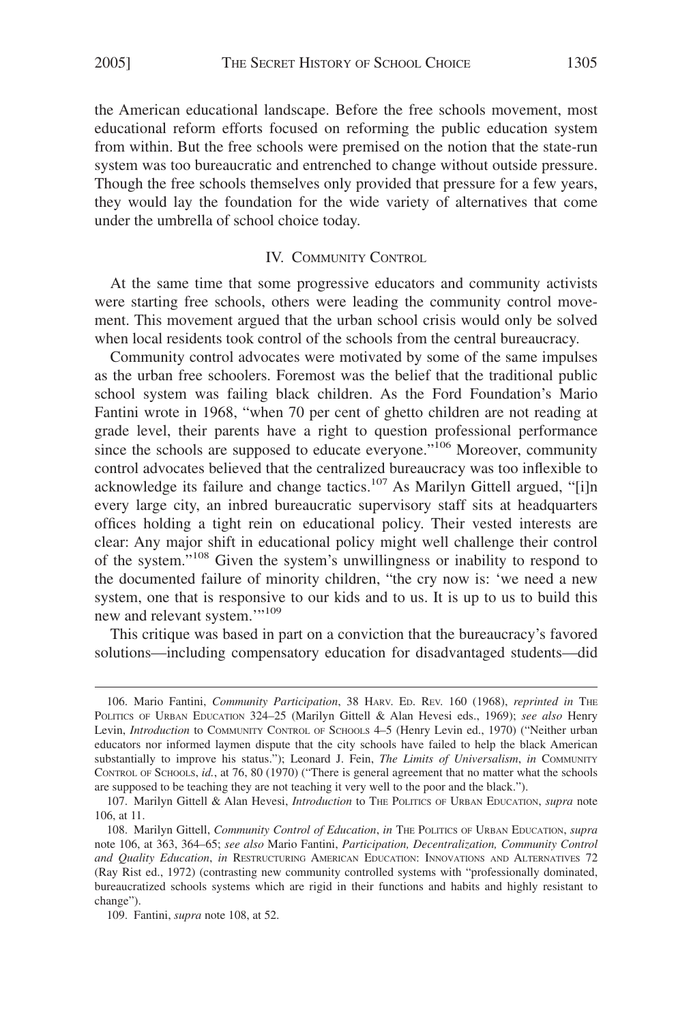the American educational landscape. Before the free schools movement, most educational reform efforts focused on reforming the public education system from within. But the free schools were premised on the notion that the state-run system was too bureaucratic and entrenched to change without outside pressure. Though the free schools themselves only provided that pressure for a few years, they would lay the foundation for the wide variety of alternatives that come under the umbrella of school choice today.

### IV. COMMUNITY CONTROL

At the same time that some progressive educators and community activists were starting free schools, others were leading the community control movement. This movement argued that the urban school crisis would only be solved when local residents took control of the schools from the central bureaucracy.

Community control advocates were motivated by some of the same impulses as the urban free schoolers. Foremost was the belief that the traditional public school system was failing black children. As the Ford Foundation's Mario Fantini wrote in 1968, "when 70 per cent of ghetto children are not reading at grade level, their parents have a right to question professional performance since the schools are supposed to educate everyone."<sup>106</sup> Moreover, community control advocates believed that the centralized bureaucracy was too inflexible to acknowledge its failure and change tactics.<sup>107</sup> As Marilyn Gittell argued, "[i]n every large city, an inbred bureaucratic supervisory staff sits at headquarters offices holding a tight rein on educational policy. Their vested interests are clear: Any major shift in educational policy might well challenge their control of the system."108 Given the system's unwillingness or inability to respond to the documented failure of minority children, "the cry now is: 'we need a new system, one that is responsive to our kids and to us. It is up to us to build this new and relevant system."<sup>109</sup>

This critique was based in part on a conviction that the bureaucracy's favored solutions—including compensatory education for disadvantaged students—did

<sup>106.</sup> Mario Fantini, *Community Participation*, 38 HARV. ED. REV. 160 (1968), *reprinted in* THE POLITICS OF URBAN EDUCATION 324–25 (Marilyn Gittell & Alan Hevesi eds., 1969); *see also* Henry Levin, *Introduction* to COMMUNITY CONTROL OF SCHOOLS 4–5 (Henry Levin ed., 1970) ("Neither urban educators nor informed laymen dispute that the city schools have failed to help the black American substantially to improve his status."); Leonard J. Fein, *The Limits of Universalism*, *in* COMMUNITY CONTROL OF SCHOOLS, *id.*, at 76, 80 (1970) ("There is general agreement that no matter what the schools are supposed to be teaching they are not teaching it very well to the poor and the black.").

<sup>107.</sup> Marilyn Gittell & Alan Hevesi, *Introduction* to THE POLITICS OF URBAN EDUCATION, *supra* note 106, at 11.

<sup>108.</sup> Marilyn Gittell, *Community Control of Education*, *in* THE POLITICS OF URBAN EDUCATION, *supra* note 106, at 363, 364–65; *see also* Mario Fantini, *Participation, Decentralization, Community Control and Quality Education*, *in* RESTRUCTURING AMERICAN EDUCATION: INNOVATIONS AND ALTERNATIVES 72 (Ray Rist ed., 1972) (contrasting new community controlled systems with "professionally dominated, bureaucratized schools systems which are rigid in their functions and habits and highly resistant to change").

<sup>109.</sup> Fantini, *supra* note 108, at 52.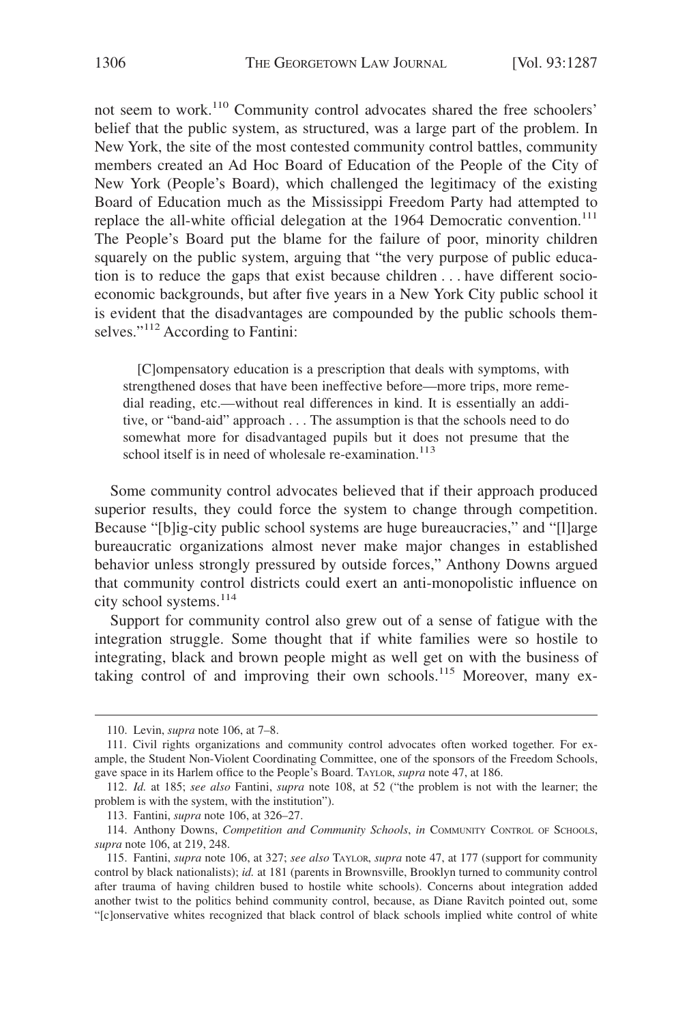not seem to work.110 Community control advocates shared the free schoolers' belief that the public system, as structured, was a large part of the problem. In New York, the site of the most contested community control battles, community members created an Ad Hoc Board of Education of the People of the City of New York (People's Board), which challenged the legitimacy of the existing Board of Education much as the Mississippi Freedom Party had attempted to replace the all-white official delegation at the 1964 Democratic convention.<sup>111</sup> The People's Board put the blame for the failure of poor, minority children squarely on the public system, arguing that "the very purpose of public education is to reduce the gaps that exist because children... have different socioeconomic backgrounds, but after five years in a New York City public school it is evident that the disadvantages are compounded by the public schools themselves."<sup>112</sup> According to Fantini:

[C]ompensatory education is a prescription that deals with symptoms, with strengthened doses that have been ineffective before—more trips, more remedial reading, etc.—without real differences in kind. It is essentially an additive, or "band-aid" approach . . . The assumption is that the schools need to do somewhat more for disadvantaged pupils but it does not presume that the school itself is in need of wholesale re-examination.<sup>113</sup>

Some community control advocates believed that if their approach produced superior results, they could force the system to change through competition. Because "[b]ig-city public school systems are huge bureaucracies," and "[l]arge bureaucratic organizations almost never make major changes in established behavior unless strongly pressured by outside forces," Anthony Downs argued that community control districts could exert an anti-monopolistic influence on city school systems. $114$ 

Support for community control also grew out of a sense of fatigue with the integration struggle. Some thought that if white families were so hostile to integrating, black and brown people might as well get on with the business of taking control of and improving their own schools.<sup>115</sup> Moreover, many ex-

<sup>110.</sup> Levin, *supra* note 106, at 7–8.

<sup>111.</sup> Civil rights organizations and community control advocates often worked together. For example, the Student Non-Violent Coordinating Committee, one of the sponsors of the Freedom Schools, gave space in its Harlem office to the People's Board. TAYLOR, *supra* note 47, at 186.

<sup>112.</sup> *Id.* at 185; *see also* Fantini, *supra* note 108, at 52 ("the problem is not with the learner; the problem is with the system, with the institution").

<sup>113.</sup> Fantini, *supra* note 106, at 326–27.

<sup>114.</sup> Anthony Downs, *Competition and Community Schools*, *in* COMMUNITY CONTROL OF SCHOOLS, *supra* note 106, at 219, 248.

<sup>115.</sup> Fantini, *supra* note 106, at 327; *see also* TAYLOR, *supra* note 47, at 177 (support for community control by black nationalists); *id.* at 181 (parents in Brownsville, Brooklyn turned to community control after trauma of having children bused to hostile white schools). Concerns about integration added another twist to the politics behind community control, because, as Diane Ravitch pointed out, some "[c]onservative whites recognized that black control of black schools implied white control of white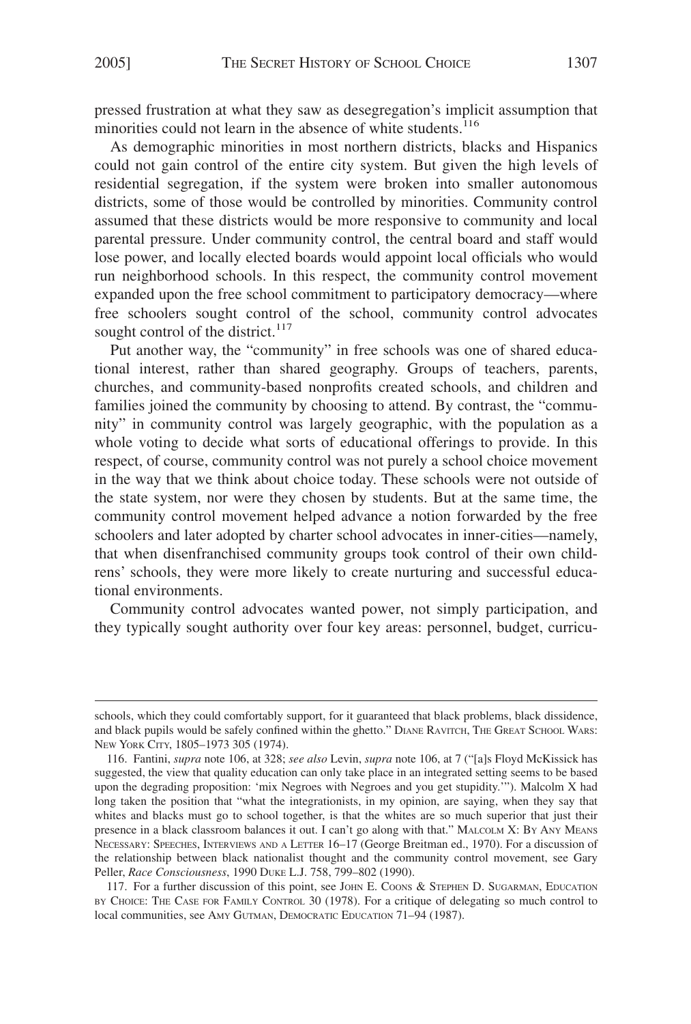pressed frustration at what they saw as desegregation's implicit assumption that minorities could not learn in the absence of white students.<sup>116</sup>

As demographic minorities in most northern districts, blacks and Hispanics could not gain control of the entire city system. But given the high levels of residential segregation, if the system were broken into smaller autonomous districts, some of those would be controlled by minorities. Community control assumed that these districts would be more responsive to community and local parental pressure. Under community control, the central board and staff would lose power, and locally elected boards would appoint local officials who would run neighborhood schools. In this respect, the community control movement expanded upon the free school commitment to participatory democracy—where free schoolers sought control of the school, community control advocates sought control of the district.<sup>117</sup>

Put another way, the "community" in free schools was one of shared educational interest, rather than shared geography. Groups of teachers, parents, churches, and community-based nonprofits created schools, and children and families joined the community by choosing to attend. By contrast, the "community" in community control was largely geographic, with the population as a whole voting to decide what sorts of educational offerings to provide. In this respect, of course, community control was not purely a school choice movement in the way that we think about choice today. These schools were not outside of the state system, nor were they chosen by students. But at the same time, the community control movement helped advance a notion forwarded by the free schoolers and later adopted by charter school advocates in inner-cities—namely, that when disenfranchised community groups took control of their own childrens' schools, they were more likely to create nurturing and successful educational environments.

Community control advocates wanted power, not simply participation, and they typically sought authority over four key areas: personnel, budget, curricu-

117. For a further discussion of this point, see JOHN E. COONS & STEPHEN D. SUGARMAN, EDUCATION BY CHOICE: THE CASE FOR FAMILY CONTROL 30 (1978). For a critique of delegating so much control to local communities, see AMY GUTMAN, DEMOCRATIC EDUCATION 71–94 (1987).

schools, which they could comfortably support, for it guaranteed that black problems, black dissidence, and black pupils would be safely confined within the ghetto." DIANE RAVITCH, THE GREAT SCHOOL WARS: NEW YORK CITY, 1805–1973 305 (1974).

<sup>116.</sup> Fantini, *supra* note 106, at 328; *see also* Levin, *supra* note 106, at 7 ("[a]s Floyd McKissick has suggested, the view that quality education can only take place in an integrated setting seems to be based upon the degrading proposition: 'mix Negroes with Negroes and you get stupidity.'"). Malcolm X had long taken the position that "what the integrationists, in my opinion, are saying, when they say that whites and blacks must go to school together, is that the whites are so much superior that just their presence in a black classroom balances it out. I can't go along with that." MALCOLM X: BY ANY MEANS NECESSARY: SPEECHES, INTERVIEWS AND A LETTER 16–17 (George Breitman ed., 1970). For a discussion of the relationship between black nationalist thought and the community control movement, see Gary Peller, *Race Consciousness*, 1990 DUKE L.J. 758, 799–802 (1990).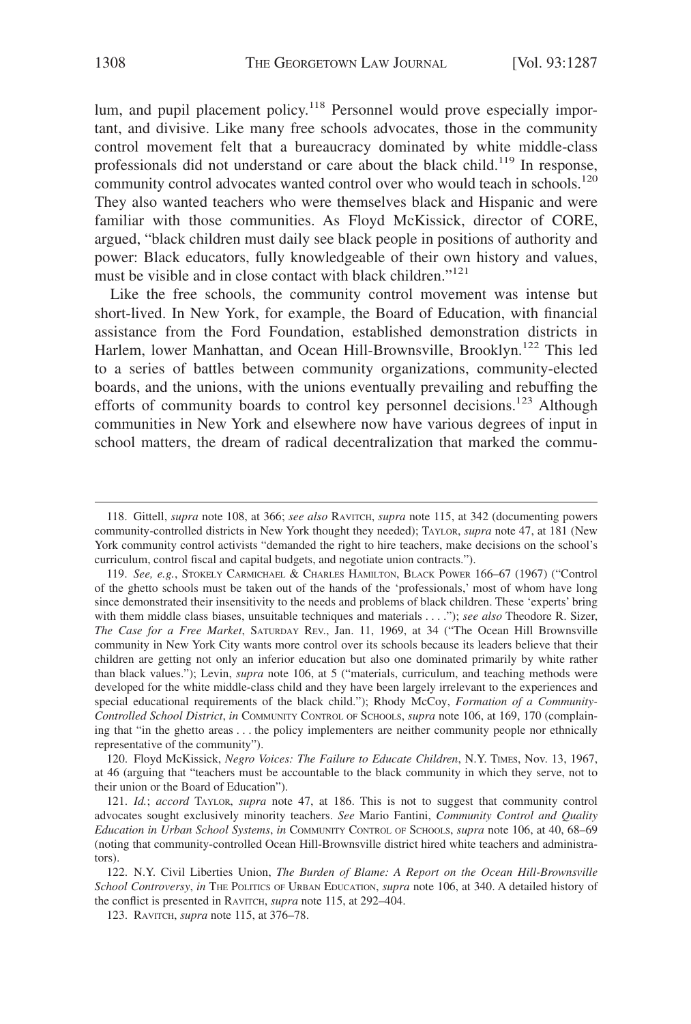lum, and pupil placement policy.<sup>118</sup> Personnel would prove especially important, and divisive. Like many free schools advocates, those in the community control movement felt that a bureaucracy dominated by white middle-class professionals did not understand or care about the black child.<sup>119</sup> In response, community control advocates wanted control over who would teach in schools.<sup>120</sup> They also wanted teachers who were themselves black and Hispanic and were familiar with those communities. As Floyd McKissick, director of CORE, argued, "black children must daily see black people in positions of authority and power: Black educators, fully knowledgeable of their own history and values, must be visible and in close contact with black children."<sup>121</sup>

Like the free schools, the community control movement was intense but short-lived. In New York, for example, the Board of Education, with financial assistance from the Ford Foundation, established demonstration districts in Harlem, lower Manhattan, and Ocean Hill-Brownsville, Brooklyn.<sup>122</sup> This led to a series of battles between community organizations, community-elected boards, and the unions, with the unions eventually prevailing and rebuffing the efforts of community boards to control key personnel decisions.<sup>123</sup> Although communities in New York and elsewhere now have various degrees of input in school matters, the dream of radical decentralization that marked the commu-

120. Floyd McKissick, *Negro Voices: The Failure to Educate Children*, N.Y. TIMES, Nov. 13, 1967, at 46 (arguing that "teachers must be accountable to the black community in which they serve, not to their union or the Board of Education").

121. *Id.*; *accord* TAYLOR, *supra* note 47, at 186. This is not to suggest that community control advocates sought exclusively minority teachers. *See* Mario Fantini, *Community Control and Quality Education in Urban School Systems*, *in* COMMUNITY CONTROL OF SCHOOLS, *supra* note 106, at 40, 68–69 (noting that community-controlled Ocean Hill-Brownsville district hired white teachers and administrators).

122. N.Y. Civil Liberties Union, *The Burden of Blame: A Report on the Ocean Hill-Brownsville School Controversy*, *in* THE POLITICS OF URBAN EDUCATION, *supra* note 106, at 340. A detailed history of the conflict is presented in RAVITCH, *supra* note 115, at 292–404.

123. RAVITCH, *supra* note 115, at 376–78.

<sup>118.</sup> Gittell, *supra* note 108, at 366; *see also* RAVITCH, *supra* note 115, at 342 (documenting powers community-controlled districts in New York thought they needed); TAYLOR, *supra* note 47, at 181 (New York community control activists "demanded the right to hire teachers, make decisions on the school's curriculum, control fiscal and capital budgets, and negotiate union contracts.").

<sup>119.</sup> *See, e.g.*, STOKELY CARMICHAEL & CHARLES HAMILTON, BLACK POWER 166–67 (1967) ("Control of the ghetto schools must be taken out of the hands of the 'professionals,' most of whom have long since demonstrated their insensitivity to the needs and problems of black children. These 'experts' bring with them middle class biases, unsuitable techniques and materials... ."); *see also* Theodore R. Sizer, *The Case for a Free Market*, SATURDAY REV., Jan. 11, 1969, at 34 ("The Ocean Hill Brownsville community in New York City wants more control over its schools because its leaders believe that their children are getting not only an inferior education but also one dominated primarily by white rather than black values."); Levin, *supra* note 106, at 5 ("materials, curriculum, and teaching methods were developed for the white middle-class child and they have been largely irrelevant to the experiences and special educational requirements of the black child."); Rhody McCoy, *Formation of a Community-Controlled School District*, *in* COMMUNITY CONTROL OF SCHOOLS, *supra* note 106, at 169, 170 (complaining that "in the ghetto areas . . . the policy implementers are neither community people nor ethnically representative of the community").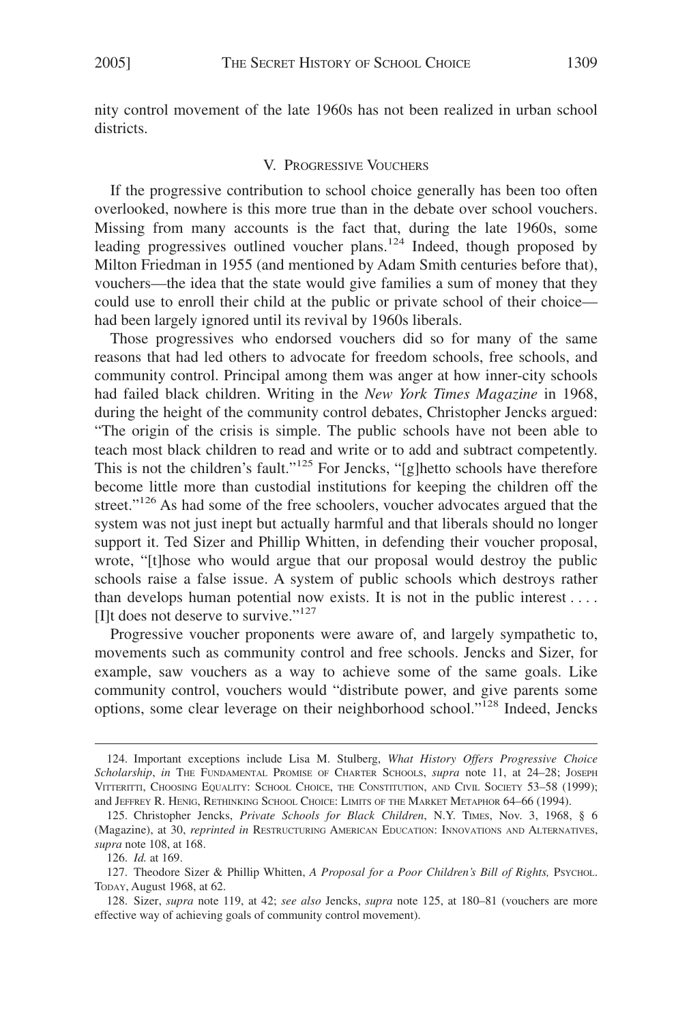nity control movement of the late 1960s has not been realized in urban school districts.

#### V. PROGRESSIVE VOUCHERS

If the progressive contribution to school choice generally has been too often overlooked, nowhere is this more true than in the debate over school vouchers. Missing from many accounts is the fact that, during the late 1960s, some leading progressives outlined voucher plans.<sup>124</sup> Indeed, though proposed by Milton Friedman in 1955 (and mentioned by Adam Smith centuries before that), vouchers—the idea that the state would give families a sum of money that they could use to enroll their child at the public or private school of their choice had been largely ignored until its revival by 1960s liberals.

Those progressives who endorsed vouchers did so for many of the same reasons that had led others to advocate for freedom schools, free schools, and community control. Principal among them was anger at how inner-city schools had failed black children. Writing in the *New York Times Magazine* in 1968, during the height of the community control debates, Christopher Jencks argued: "The origin of the crisis is simple. The public schools have not been able to teach most black children to read and write or to add and subtract competently. This is not the children's fault."<sup>125</sup> For Jencks, "[g]hetto schools have therefore become little more than custodial institutions for keeping the children off the street."<sup>126</sup> As had some of the free schoolers, voucher advocates argued that the system was not just inept but actually harmful and that liberals should no longer support it. Ted Sizer and Phillip Whitten, in defending their voucher proposal, wrote, "[t]hose who would argue that our proposal would destroy the public schools raise a false issue. A system of public schools which destroys rather than develops human potential now exists. It is not in the public interest.... [I]t does not deserve to survive."<sup>127</sup>

Progressive voucher proponents were aware of, and largely sympathetic to, movements such as community control and free schools. Jencks and Sizer, for example, saw vouchers as a way to achieve some of the same goals. Like community control, vouchers would "distribute power, and give parents some options, some clear leverage on their neighborhood school."<sup>128</sup> Indeed, Jencks

<sup>124.</sup> Important exceptions include Lisa M. Stulberg, *What History Offers Progressive Choice Scholarship*, *in* THE FUNDAMENTAL PROMISE OF CHARTER SCHOOLS, *supra* note 11, at 24–28; JOSEPH VITTERITTI, CHOOSING EQUALITY: SCHOOL CHOICE, THE CONSTITUTION, AND CIVIL SOCIETY 53–58 (1999); and JEFFREY R. HENIG, RETHINKING SCHOOL CHOICE: LIMITS OF THE MARKET METAPHOR 64–66 (1994).

<sup>125.</sup> Christopher Jencks, *Private Schools for Black Children*, N.Y. TIMES, Nov. 3, 1968, § 6 (Magazine), at 30, *reprinted in* RESTRUCTURING AMERICAN EDUCATION: INNOVATIONS AND ALTERNATIVES, *supra* note 108, at 168.

<sup>126.</sup> *Id.* at 169.

<sup>127.</sup> Theodore Sizer & Phillip Whitten, *A Proposal for a Poor Children's Bill of Rights*, Psychol. TODAY, August 1968, at 62.

<sup>128.</sup> Sizer, *supra* note 119, at 42; *see also* Jencks, *supra* note 125, at 180–81 (vouchers are more effective way of achieving goals of community control movement).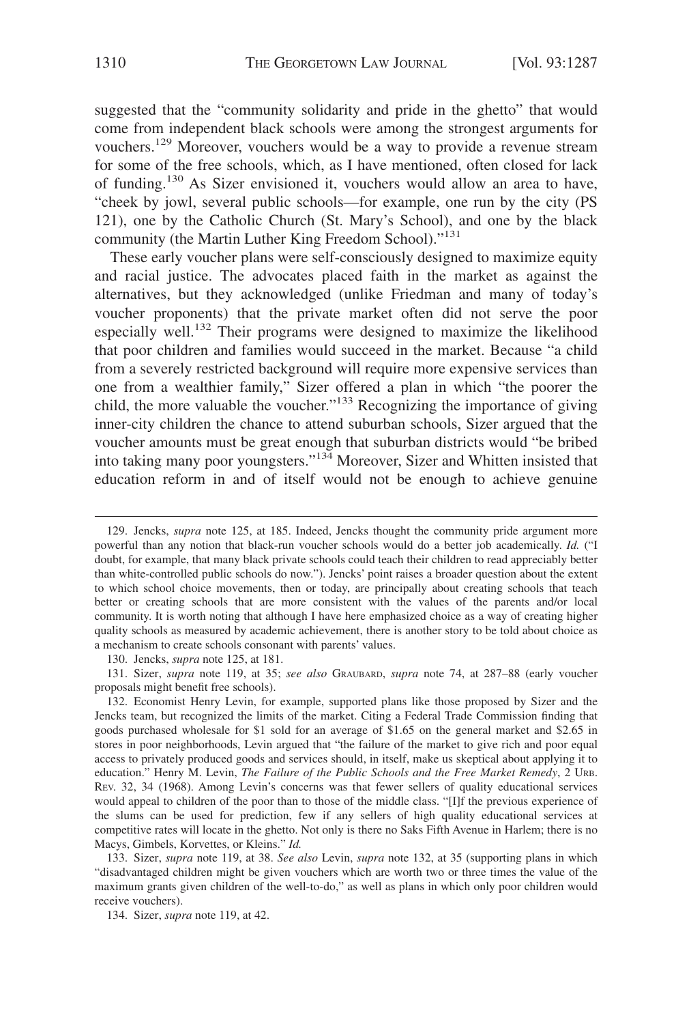suggested that the "community solidarity and pride in the ghetto" that would come from independent black schools were among the strongest arguments for vouchers.<sup>129</sup> Moreover, vouchers would be a way to provide a revenue stream for some of the free schools, which, as I have mentioned, often closed for lack of funding.<sup>130</sup> As Sizer envisioned it, vouchers would allow an area to have, "cheek by jowl, several public schools—for example, one run by the city (PS 121), one by the Catholic Church (St. Mary's School), and one by the black community (the Martin Luther King Freedom School)."<sup>131</sup>

These early voucher plans were self-consciously designed to maximize equity and racial justice. The advocates placed faith in the market as against the alternatives, but they acknowledged (unlike Friedman and many of today's voucher proponents) that the private market often did not serve the poor especially well.<sup>132</sup> Their programs were designed to maximize the likelihood that poor children and families would succeed in the market. Because "a child from a severely restricted background will require more expensive services than one from a wealthier family," Sizer offered a plan in which "the poorer the child, the more valuable the voucher."<sup>133</sup> Recognizing the importance of giving inner-city children the chance to attend suburban schools, Sizer argued that the voucher amounts must be great enough that suburban districts would "be bribed into taking many poor youngsters."134 Moreover, Sizer and Whitten insisted that education reform in and of itself would not be enough to achieve genuine

130. Jencks, *supra* note 125, at 181.

131. Sizer, *supra* note 119, at 35; *see also* GRAUBARD, *supra* note 74, at 287–88 (early voucher proposals might benefit free schools).

<sup>129.</sup> Jencks, *supra* note 125, at 185. Indeed, Jencks thought the community pride argument more powerful than any notion that black-run voucher schools would do a better job academically. *Id.* ("I doubt, for example, that many black private schools could teach their children to read appreciably better than white-controlled public schools do now."). Jencks' point raises a broader question about the extent to which school choice movements, then or today, are principally about creating schools that teach better or creating schools that are more consistent with the values of the parents and/or local community. It is worth noting that although I have here emphasized choice as a way of creating higher quality schools as measured by academic achievement, there is another story to be told about choice as a mechanism to create schools consonant with parents' values.

<sup>132.</sup> Economist Henry Levin, for example, supported plans like those proposed by Sizer and the Jencks team, but recognized the limits of the market. Citing a Federal Trade Commission finding that goods purchased wholesale for \$1 sold for an average of \$1.65 on the general market and \$2.65 in stores in poor neighborhoods, Levin argued that "the failure of the market to give rich and poor equal access to privately produced goods and services should, in itself, make us skeptical about applying it to education." Henry M. Levin, *The Failure of the Public Schools and the Free Market Remedy*, 2 URB. REV. 32, 34 (1968). Among Levin's concerns was that fewer sellers of quality educational services would appeal to children of the poor than to those of the middle class. "[I]f the previous experience of the slums can be used for prediction, few if any sellers of high quality educational services at competitive rates will locate in the ghetto. Not only is there no Saks Fifth Avenue in Harlem; there is no Macys, Gimbels, Korvettes, or Kleins." *Id.*

<sup>133.</sup> Sizer, *supra* note 119, at 38. *See also* Levin, *supra* note 132, at 35 (supporting plans in which "disadvantaged children might be given vouchers which are worth two or three times the value of the maximum grants given children of the well-to-do," as well as plans in which only poor children would receive vouchers).

<sup>134.</sup> Sizer, *supra* note 119, at 42.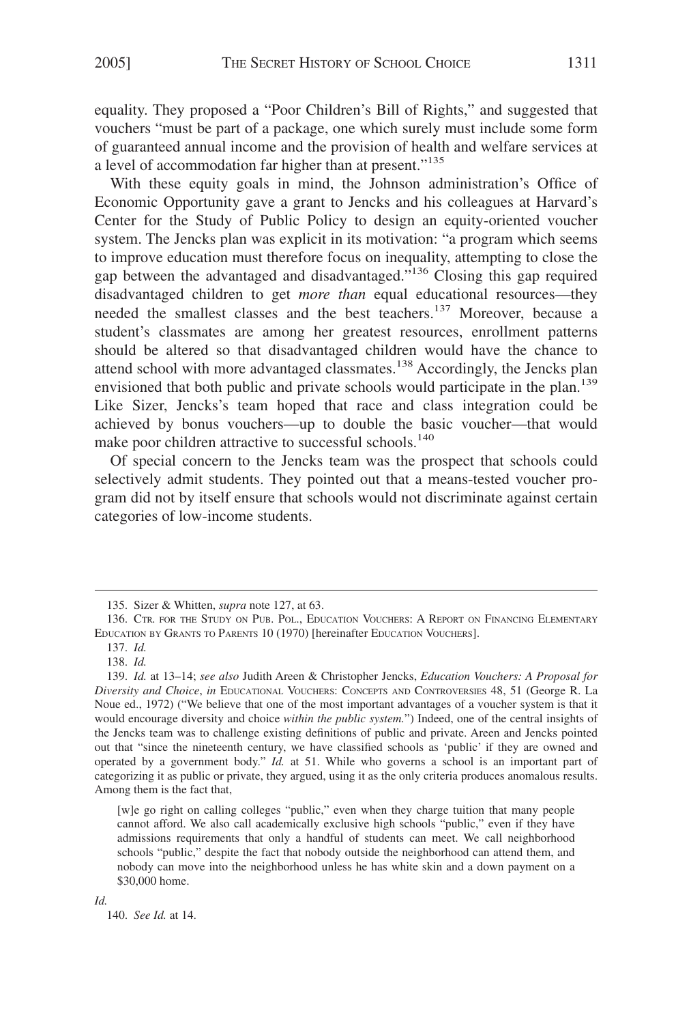equality. They proposed a "Poor Children's Bill of Rights," and suggested that vouchers "must be part of a package, one which surely must include some form of guaranteed annual income and the provision of health and welfare services at a level of accommodation far higher than at present."<sup>135</sup>

With these equity goals in mind, the Johnson administration's Office of Economic Opportunity gave a grant to Jencks and his colleagues at Harvard's Center for the Study of Public Policy to design an equity-oriented voucher system. The Jencks plan was explicit in its motivation: "a program which seems to improve education must therefore focus on inequality, attempting to close the gap between the advantaged and disadvantaged."136 Closing this gap required disadvantaged children to get *more than* equal educational resources—they needed the smallest classes and the best teachers.137 Moreover, because a student's classmates are among her greatest resources, enrollment patterns should be altered so that disadvantaged children would have the chance to attend school with more advantaged classmates.<sup>138</sup> Accordingly, the Jencks plan envisioned that both public and private schools would participate in the plan.<sup>139</sup> Like Sizer, Jencks's team hoped that race and class integration could be achieved by bonus vouchers—up to double the basic voucher—that would make poor children attractive to successful schools.<sup>140</sup>

Of special concern to the Jencks team was the prospect that schools could selectively admit students. They pointed out that a means-tested voucher program did not by itself ensure that schools would not discriminate against certain categories of low-income students.

[w]e go right on calling colleges "public," even when they charge tuition that many people cannot afford. We also call academically exclusive high schools "public," even if they have admissions requirements that only a handful of students can meet. We call neighborhood schools "public," despite the fact that nobody outside the neighborhood can attend them, and nobody can move into the neighborhood unless he has white skin and a down payment on a \$30,000 home.

*Id.*

140. *See Id.* at 14.

<sup>135.</sup> Sizer & Whitten, *supra* note 127, at 63.

<sup>136.</sup> CTR. FOR THE STUDY ON PUB. POL., EDUCATION VOUCHERS: A REPORT ON FINANCING ELEMENTARY EDUCATION BY GRANTS TO PARENTS 10 (1970) [hereinafter EDUCATION VOUCHERS].

<sup>137.</sup> *Id.* 138. *Id.*

<sup>139.</sup> *Id.* at 13–14; *see also* Judith Areen & Christopher Jencks, *Education Vouchers: A Proposal for Diversity and Choice*, *in* EDUCATIONAL VOUCHERS: CONCEPTS AND CONTROVERSIES 48, 51 (George R. La Noue ed., 1972) ("We believe that one of the most important advantages of a voucher system is that it would encourage diversity and choice *within the public system.*") Indeed, one of the central insights of the Jencks team was to challenge existing definitions of public and private. Areen and Jencks pointed out that "since the nineteenth century, we have classified schools as 'public' if they are owned and operated by a government body." *Id.* at 51. While who governs a school is an important part of categorizing it as public or private, they argued, using it as the only criteria produces anomalous results. Among them is the fact that,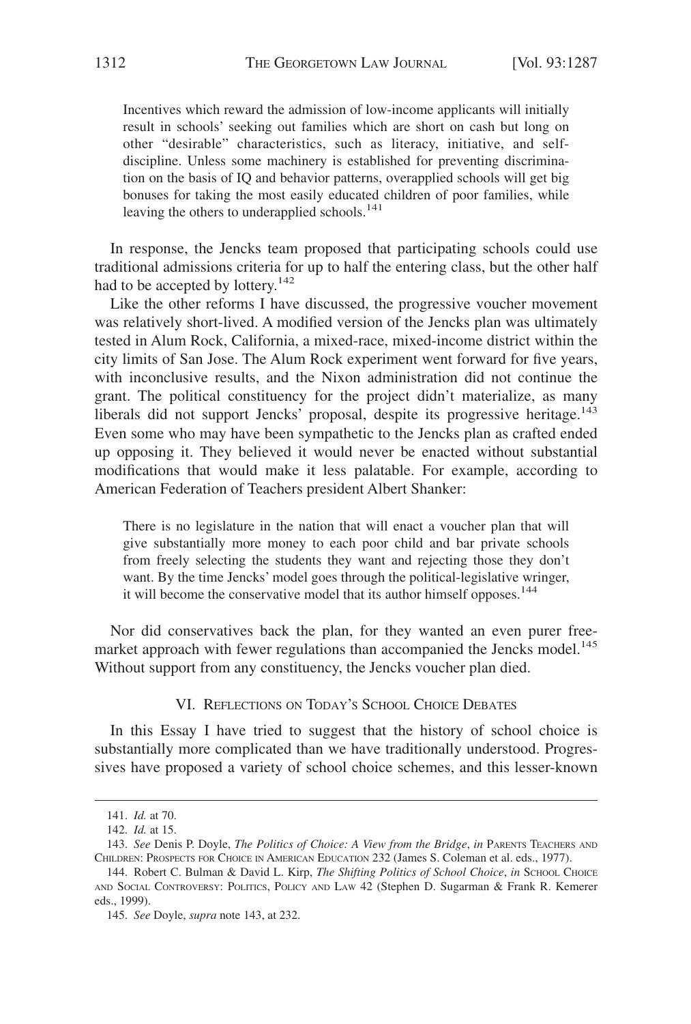Incentives which reward the admission of low-income applicants will initially result in schools' seeking out families which are short on cash but long on other "desirable" characteristics, such as literacy, initiative, and selfdiscipline. Unless some machinery is established for preventing discrimination on the basis of IQ and behavior patterns, overapplied schools will get big bonuses for taking the most easily educated children of poor families, while leaving the others to underapplied schools.<sup>141</sup>

In response, the Jencks team proposed that participating schools could use traditional admissions criteria for up to half the entering class, but the other half had to be accepted by lottery.<sup>142</sup>

Like the other reforms I have discussed, the progressive voucher movement was relatively short-lived. A modified version of the Jencks plan was ultimately tested in Alum Rock, California, a mixed-race, mixed-income district within the city limits of San Jose. The Alum Rock experiment went forward for five years, with inconclusive results, and the Nixon administration did not continue the grant. The political constituency for the project didn't materialize, as many liberals did not support Jencks' proposal, despite its progressive heritage.<sup>143</sup> Even some who may have been sympathetic to the Jencks plan as crafted ended up opposing it. They believed it would never be enacted without substantial modifications that would make it less palatable. For example, according to American Federation of Teachers president Albert Shanker:

There is no legislature in the nation that will enact a voucher plan that will give substantially more money to each poor child and bar private schools from freely selecting the students they want and rejecting those they don't want. By the time Jencks' model goes through the political-legislative wringer, it will become the conservative model that its author himself opposes.<sup>144</sup>

Nor did conservatives back the plan, for they wanted an even purer freemarket approach with fewer regulations than accompanied the Jencks model.<sup>145</sup> Without support from any constituency, the Jencks voucher plan died.

VI. REFLECTIONS ON TODAY'S SCHOOL CHOICE DEBATES

In this Essay I have tried to suggest that the history of school choice is substantially more complicated than we have traditionally understood. Progressives have proposed a variety of school choice schemes, and this lesser-known

<sup>141.</sup> *Id.* at 70.

<sup>142.</sup> *Id.* at 15.

<sup>143.</sup> *See* Denis P. Doyle, *The Politics of Choice: A View from the Bridge*, *in* PARENTS TEACHERS AND CHILDREN: PROSPECTS FOR CHOICE IN AMERICAN EDUCATION 232 (James S. Coleman et al. eds., 1977).

<sup>144.</sup> Robert С. Bulman & David L. Kirp, *The Shifting Politics of School Choice*, *in* Sсноог. Сногсе AND SOCIAL CONTROVERSY: POLITICS, POLICY AND LAW 42 (Stephen D. Sugarman & Frank R. Kemerer eds., 1999).

<sup>145.</sup> *See* Doyle, *supra* note 143, at 232.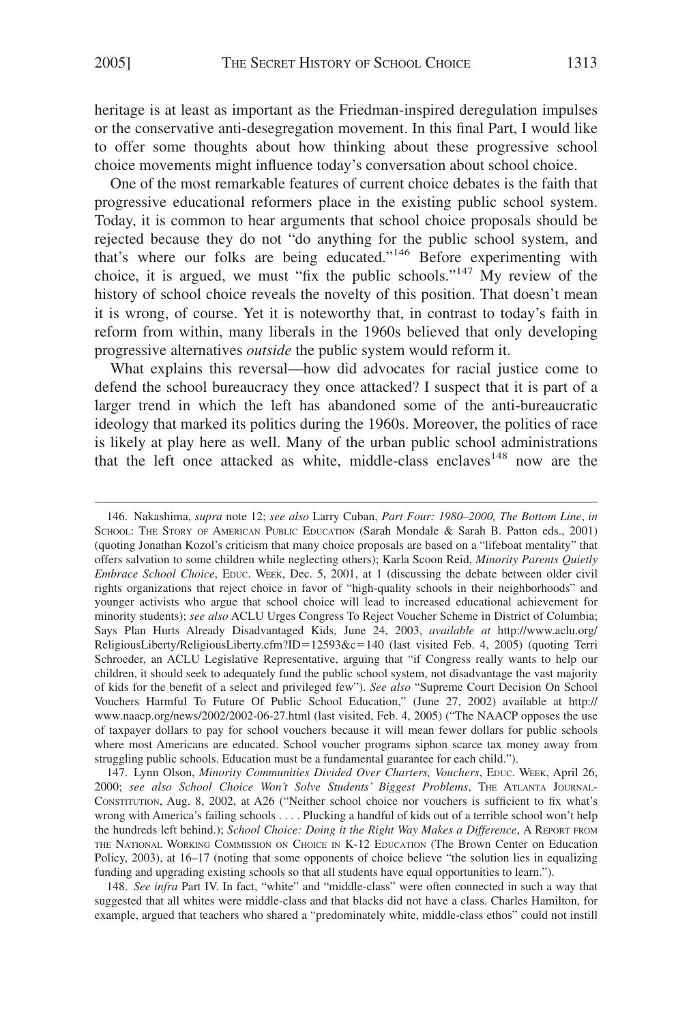heritage is at least as important as the Friedman-inspired deregulation impulses or the conservative anti-desegregation movement. In this final Part, I would like to offer some thoughts about how thinking about these progressive school choice movements might influence today's conversation about school choice.

One of the most remarkable features of current choice debates is the faith that progressive educational reformers place in the existing public school system. Today, it is common to hear arguments that school choice proposals should be rejected because they do not "do anything for the public school system, and that's where our folks are being educated."146 Before experimenting with choice, it is argued, we must "fix the public schools."<sup>147</sup> My review of the history of school choice reveals the novelty of this position. That doesn't mean it is wrong, of course. Yet it is noteworthy that, in contrast to today's faith in reform from within, many liberals in the 1960s believed that only developing progressive alternatives *outside* the public system would reform it.

What explains this reversal—how did advocates for racial justice come to defend the school bureaucracy they once attacked? I suspect that it is part of a larger trend in which the left has abandoned some of the anti-bureaucratic ideology that marked its politics during the 1960s. Moreover, the politics of race is likely at play here as well. Many of the urban public school administrations that the left once attacked as white, middle-class enclaves<sup>148</sup> now are the

147. Lynn Olson, *Minority Communities Divided Over Charters, Vouchers*, EDUC. WEEK, April 26, 2000; *see also School Choice Won't Solve Students' Biggest Problems*, THE ATLANTA JOURNAL-CONSTITUTION, Aug. 8, 2002, at A26 ("Neither school choice nor vouchers is sufficient to fix what's wrong with America's failing schools.... Plucking a handful of kids out of a terrible school won't help the hundreds left behind.); *School Choice: Doing it the Right Way Makes a Difference*, A REPORT FROM THE NATIONAL WORKING COMMISSION ON CHOICE IN K-12 EDUCATION (The Brown Center on Education Policy, 2003), at 16–17 (noting that some opponents of choice believe "the solution lies in equalizing funding and upgrading existing schools so that all students have equal opportunities to learn.").

148. *See infra* Part IV. In fact, "white" and "middle-class" were often connected in such a way that suggested that all whites were middle-class and that blacks did not have a class. Charles Hamilton, for example, argued that teachers who shared a "predominately white, middle-class ethos" could not instill

<sup>146.</sup> Nakashima, *supra* note 12; *see also* Larry Cuban, *Part Four: 1980–2000, The Bottom Line*, *in* SCHOOL: THE STORY OF AMERICAN PUBLIC EDUCATION (Sarah Mondale & Sarah B. Patton eds., 2001) (quoting Jonathan Kozol's criticism that many choice proposals are based on a "lifeboat mentality" that offers salvation to some children while neglecting others); Karla Scoon Reid, *Minority Parents Quietly Embrace School Choice*, EDUC. WEEK, Dec. 5, 2001, at 1 (discussing the debate between older civil rights organizations that reject choice in favor of "high-quality schools in their neighborhoods" and younger activists who argue that school choice will lead to increased educational achievement for minority students); *see also* ACLU Urges Congress To Reject Voucher Scheme in District of Columbia; Says Plan Hurts Already Disadvantaged Kids, June 24, 2003, *available at* http://www.aclu.org/ ReligiousLiberty/ReligiousLiberty.cfm?ID=12593&c=140 (last visited Feb. 4, 2005) (quoting Terri Schroeder, an ACLU Legislative Representative, arguing that "if Congress really wants to help our children, it should seek to adequately fund the public school system, not disadvantage the vast majority of kids for the benefit of a select and privileged few"). *See also* "Supreme Court Decision On School Vouchers Harmful To Future Of Public School Education," (June 27, 2002) available at http:// www.naacp.org/news/2002/2002-06-27.html (last visited, Feb. 4, 2005) ("The NAACP opposes the use of taxpayer dollars to pay for school vouchers because it will mean fewer dollars for public schools where most Americans are educated. School voucher programs siphon scarce tax money away from struggling public schools. Education must be a fundamental guarantee for each child.").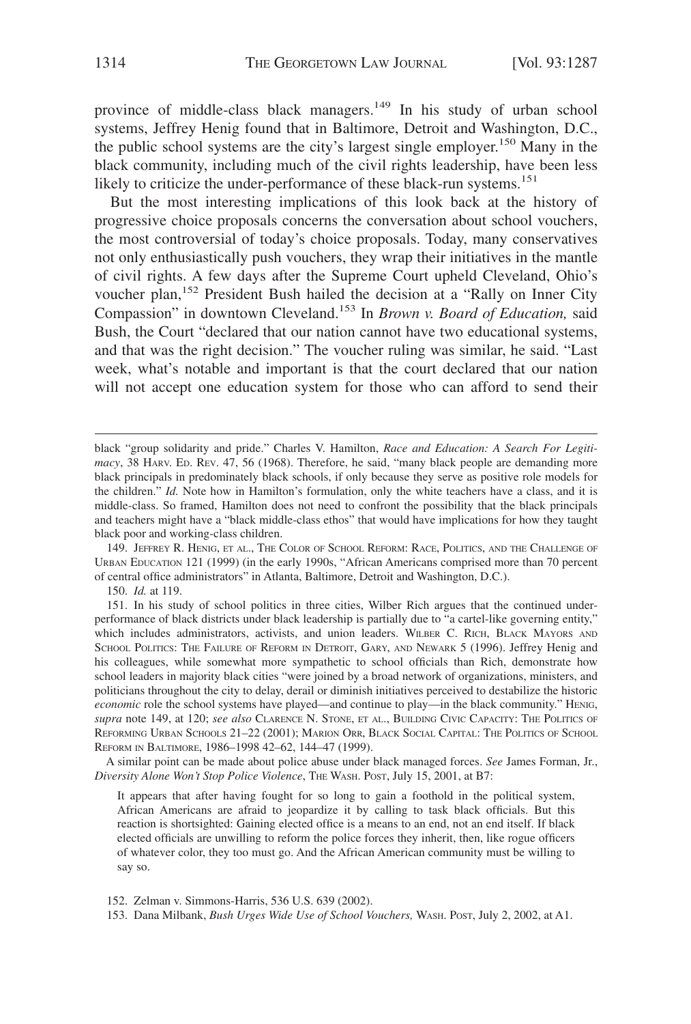province of middle-class black managers.<sup>149</sup> In his study of urban school systems, Jeffrey Henig found that in Baltimore, Detroit and Washington, D.C., the public school systems are the city's largest single employer.<sup>150</sup> Many in the black community, including much of the civil rights leadership, have been less likely to criticize the under-performance of these black-run systems.<sup>151</sup>

But the most interesting implications of this look back at the history of progressive choice proposals concerns the conversation about school vouchers, the most controversial of today's choice proposals. Today, many conservatives not only enthusiastically push vouchers, they wrap their initiatives in the mantle of civil rights. A few days after the Supreme Court upheld Cleveland, Ohio's voucher plan,<sup>152</sup> President Bush hailed the decision at a "Rally on Inner City Compassion" in downtown Cleveland.153 In *Brown v. Board of Education,* said Bush, the Court "declared that our nation cannot have two educational systems, and that was the right decision." The voucher ruling was similar, he said. "Last week, what's notable and important is that the court declared that our nation will not accept one education system for those who can afford to send their

150. *Id.* at 119.

A similar point can be made about police abuse under black managed forces. *See* James Forman, Jr., *Diversity Alone Won't Stop Police Violence*, THE WASH. POST, July 15, 2001, at B7:

It appears that after having fought for so long to gain a foothold in the political system, African Americans are afraid to jeopardize it by calling to task black officials. But this reaction is shortsighted: Gaining elected office is a means to an end, not an end itself. If black elected officials are unwilling to reform the police forces they inherit, then, like rogue officers of whatever color, they too must go. And the African American community must be willing to say so.

152. Zelman v. Simmons-Harris, 536 U.S. 639 (2002).

black "group solidarity and pride." Charles V. Hamilton, *Race and Education: A Search For Legitimacy*, 38 HARV. ED. REV. 47, 56 (1968). Therefore, he said, "many black people are demanding more black principals in predominately black schools, if only because they serve as positive role models for the children." *Id.* Note how in Hamilton's formulation, only the white teachers have a class, and it is middle-class. So framed, Hamilton does not need to confront the possibility that the black principals and teachers might have a "black middle-class ethos" that would have implications for how they taught black poor and working-class children.

<sup>149.</sup> JEFFREY R. HENIG, ET AL., THE COLOR OF SCHOOL REFORM: RACE, POLITICS, AND THE CHALLENGE OF URBAN EDUCATION 121 (1999) (in the early 1990s, "African Americans comprised more than 70 percent of central office administrators" in Atlanta, Baltimore, Detroit and Washington, D.C.).

<sup>151.</sup> In his study of school politics in three cities, Wilber Rich argues that the continued underperformance of black districts under black leadership is partially due to "a cartel-like governing entity," which includes administrators, activists, and union leaders. WILBER C. RICH, BLACK MAYORS AND SCHOOL POLITICS: THE FAILURE OF REFORM IN DETROIT, GARY, AND NEWARK 5 (1996). Jeffrey Henig and his colleagues, while somewhat more sympathetic to school officials than Rich, demonstrate how school leaders in majority black cities "were joined by a broad network of organizations, ministers, and politicians throughout the city to delay, derail or diminish initiatives perceived to destabilize the historic *economic* role the school systems have played—and continue to play—in the black community." HENIG, *supra* note 149, at 120; *see also* CLARENCE N. STONE, ET AL., BUILDING CIVIC CAPACITY: THE POLITICS OF REFORMING URBAN SCHOOLS 21–22 (2001); MARION ORR, BLACK SOCIAL CAPITAL: THE POLITICS OF SCHOOL REFORM IN BALTIMORE, 1986–1998 42–62, 144–47 (1999).

<sup>153.</sup> Dana Milbank, *Bush Urges Wide Use of School Vouchers,* WASH. POST, July 2, 2002, at A1.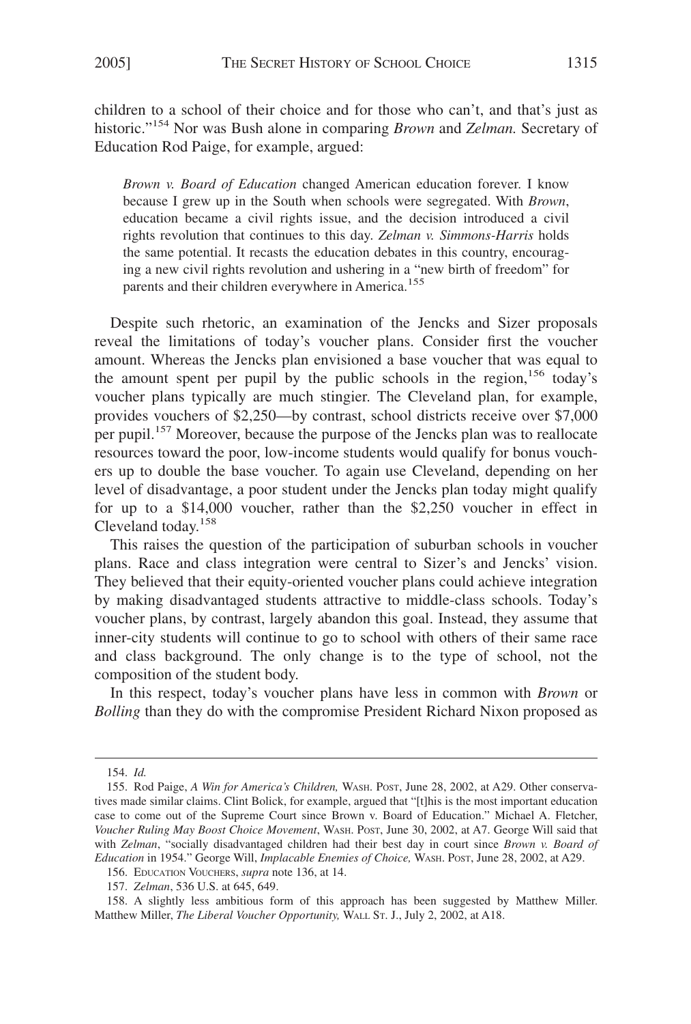children to a school of their choice and for those who can't, and that's just as historic."154 Nor was Bush alone in comparing *Brown* and *Zelman.* Secretary of Education Rod Paige, for example, argued:

*Brown v. Board of Education* changed American education forever. I know because I grew up in the South when schools were segregated. With *Brown*, education became a civil rights issue, and the decision introduced a civil rights revolution that continues to this day. *Zelman v. Simmons-Harris* holds the same potential. It recasts the education debates in this country, encouraging a new civil rights revolution and ushering in a "new birth of freedom" for parents and their children everywhere in America.<sup>155</sup>

Despite such rhetoric, an examination of the Jencks and Sizer proposals reveal the limitations of today's voucher plans. Consider first the voucher amount. Whereas the Jencks plan envisioned a base voucher that was equal to the amount spent per pupil by the public schools in the region,<sup>156</sup> today's voucher plans typically are much stingier. The Cleveland plan, for example, provides vouchers of \$2,250—by contrast, school districts receive over \$7,000 per pupil.<sup>157</sup> Moreover, because the purpose of the Jencks plan was to reallocate resources toward the poor, low-income students would qualify for bonus vouchers up to double the base voucher. To again use Cleveland, depending on her level of disadvantage, a poor student under the Jencks plan today might qualify for up to a \$14,000 voucher, rather than the \$2,250 voucher in effect in Cleveland today.158

This raises the question of the participation of suburban schools in voucher plans. Race and class integration were central to Sizer's and Jencks' vision. They believed that their equity-oriented voucher plans could achieve integration by making disadvantaged students attractive to middle-class schools. Today's voucher plans, by contrast, largely abandon this goal. Instead, they assume that inner-city students will continue to go to school with others of their same race and class background. The only change is to the type of school, not the composition of the student body.

In this respect, today's voucher plans have less in common with *Brown* or *Bolling* than they do with the compromise President Richard Nixon proposed as

<sup>154.</sup> *Id.*

<sup>155.</sup> Rod Paige, *A Win for America's Children,* WASH. POST, June 28, 2002, at A29. Other conservatives made similar claims. Clint Bolick, for example, argued that "[t]his is the most important education case to come out of the Supreme Court since Brown v. Board of Education." Michael A. Fletcher, *Voucher Ruling May Boost Choice Movement*, WASH. POST, June 30, 2002, at A7. George Will said that with *Zelman*, "socially disadvantaged children had their best day in court since *Brown v. Board of Education* in 1954." George Will, *Implacable Enemies of Choice,* WASH. POST, June 28, 2002, at A29.

<sup>156.</sup> EDUCATION VOUCHERS, *supra* note 136, at 14.

<sup>157.</sup> *Zelman*, 536 U.S. at 645, 649.

<sup>158.</sup> A slightly less ambitious form of this approach has been suggested by Matthew Miller. Matthew Miller, *The Liberal Voucher Opportunity,* WALL ST. J., July 2, 2002, at A18.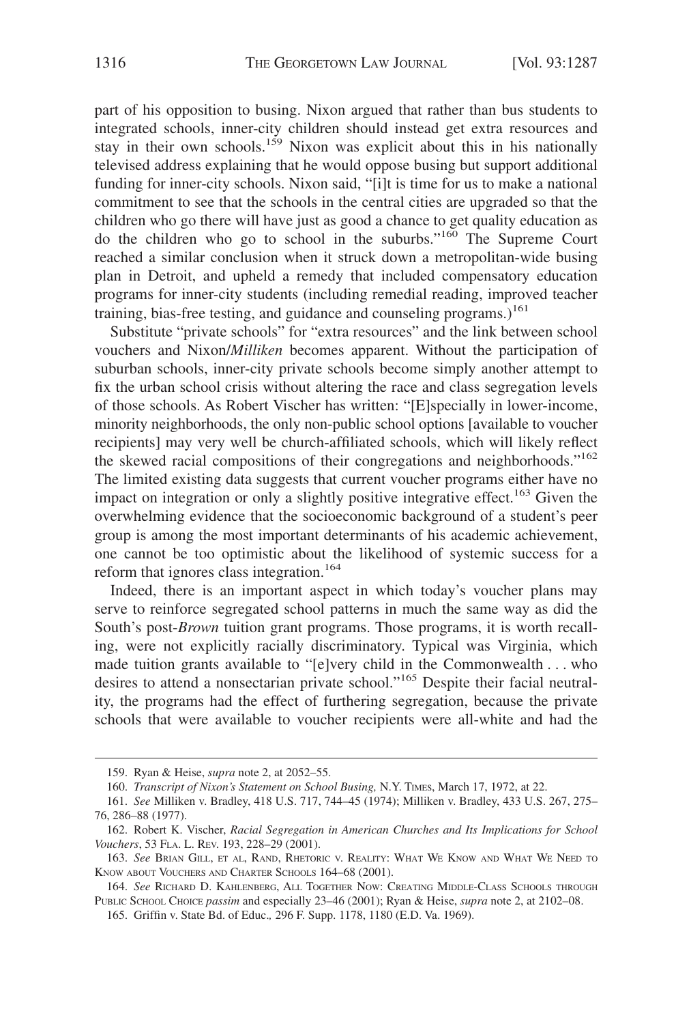part of his opposition to busing. Nixon argued that rather than bus students to integrated schools, inner-city children should instead get extra resources and stay in their own schools.<sup>159</sup> Nixon was explicit about this in his nationally televised address explaining that he would oppose busing but support additional funding for inner-city schools. Nixon said, "[i]t is time for us to make a national commitment to see that the schools in the central cities are upgraded so that the children who go there will have just as good a chance to get quality education as do the children who go to school in the suburbs."160 The Supreme Court reached a similar conclusion when it struck down a metropolitan-wide busing plan in Detroit, and upheld a remedy that included compensatory education programs for inner-city students (including remedial reading, improved teacher training, bias-free testing, and guidance and counseling programs.)<sup>161</sup>

Substitute "private schools" for "extra resources" and the link between school vouchers and Nixon/*Milliken* becomes apparent. Without the participation of suburban schools, inner-city private schools become simply another attempt to fix the urban school crisis without altering the race and class segregation levels of those schools. As Robert Vischer has written: "[E]specially in lower-income, minority neighborhoods, the only non-public school options [available to voucher recipients] may very well be church-affiliated schools, which will likely reflect the skewed racial compositions of their congregations and neighborhoods."<sup>162</sup> The limited existing data suggests that current voucher programs either have no impact on integration or only a slightly positive integrative effect.<sup>163</sup> Given the overwhelming evidence that the socioeconomic background of a student's peer group is among the most important determinants of his academic achievement, one cannot be too optimistic about the likelihood of systemic success for a reform that ignores class integration.<sup>164</sup>

Indeed, there is an important aspect in which today's voucher plans may serve to reinforce segregated school patterns in much the same way as did the South's post-*Brown* tuition grant programs. Those programs, it is worth recalling, were not explicitly racially discriminatory. Typical was Virginia, which made tuition grants available to "[e]very child in the Commonwealth . . . who desires to attend a nonsectarian private school."165 Despite their facial neutrality, the programs had the effect of furthering segregation, because the private schools that were available to voucher recipients were all-white and had the

<sup>159.</sup> Ryan & Heise, *supra* note 2, at 2052–55.

<sup>160.</sup> *Transcript of Nixon's Statement on School Busing,* N.Y. TIMES, March 17, 1972, at 22.

<sup>161.</sup> *See* Milliken v. Bradley, 418 U.S. 717, 744–45 (1974); Milliken v. Bradley, 433 U.S. 267, 275– 76, 286–88 (1977).

<sup>162.</sup> Robert K. Vischer, *Racial Segregation in American Churches and Its Implications for School Vouchers*, 53 FLA. L. REV. 193, 228–29 (2001).

<sup>163.</sup> *See* BRIAN GILL, ET AL, RAND, RHETORIC V. REALITY: WHAT WE KNOW AND WHAT WE NEED TO KNOW ABOUT VOUCHERS AND CHARTER SCHOOLS 164-68 (2001).

<sup>164.</sup> *See* RICHARD D. KAHLENBERG, ALL TOGETHER NOW: CREATING MIDDLE-CLASS SCHOOLS THROUGH PUBLIC SCHOOL CHOICE *passim* and especially 23–46 (2001); Ryan & Heise, *supra* note 2, at 2102–08.

<sup>165.</sup> Griffin v. State Bd. of Educ.*,* 296 F. Supp. 1178, 1180 (E.D. Va. 1969).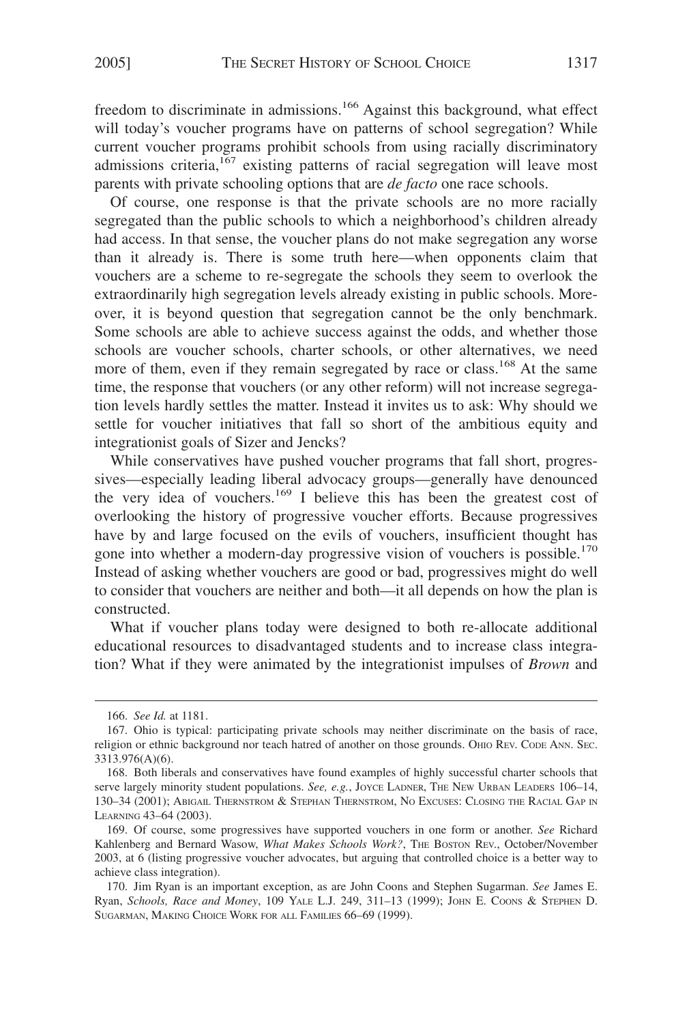freedom to discriminate in admissions.<sup>166</sup> Against this background, what effect will today's voucher programs have on patterns of school segregation? While current voucher programs prohibit schools from using racially discriminatory admissions criteria, $167$  existing patterns of racial segregation will leave most parents with private schooling options that are *de facto* one race schools.

Of course, one response is that the private schools are no more racially segregated than the public schools to which a neighborhood's children already had access. In that sense, the voucher plans do not make segregation any worse than it already is. There is some truth here—when opponents claim that vouchers are a scheme to re-segregate the schools they seem to overlook the extraordinarily high segregation levels already existing in public schools. Moreover, it is beyond question that segregation cannot be the only benchmark. Some schools are able to achieve success against the odds, and whether those schools are voucher schools, charter schools, or other alternatives, we need more of them, even if they remain segregated by race or class.<sup>168</sup> At the same time, the response that vouchers (or any other reform) will not increase segregation levels hardly settles the matter. Instead it invites us to ask: Why should we settle for voucher initiatives that fall so short of the ambitious equity and integrationist goals of Sizer and Jencks?

While conservatives have pushed voucher programs that fall short, progressives—especially leading liberal advocacy groups—generally have denounced the very idea of vouchers.<sup>169</sup> I believe this has been the greatest cost of overlooking the history of progressive voucher efforts. Because progressives have by and large focused on the evils of vouchers, insufficient thought has gone into whether a modern-day progressive vision of vouchers is possible.<sup>170</sup> Instead of asking whether vouchers are good or bad, progressives might do well to consider that vouchers are neither and both—it all depends on how the plan is constructed.

What if voucher plans today were designed to both re-allocate additional educational resources to disadvantaged students and to increase class integration? What if they were animated by the integrationist impulses of *Brown* and

<sup>166.</sup> *See Id.* at 1181.

<sup>167.</sup> Ohio is typical: participating private schools may neither discriminate on the basis of race, religion or ethnic background nor teach hatred of another on those grounds. OHIO REV. CODE ANN. SEC. 3313.976(A)(6).

<sup>168.</sup> Both liberals and conservatives have found examples of highly successful charter schools that serve largely minority student populations. *See, e.g.*, JOYCE LADNER, THE NEW URBAN LEADERS 106-14, 130–34 (2001); ABIGAIL THERNSTROM & STEPHAN THERNSTROM, NO EXCUSES: CLOSING THE RACIAL GAP IN LEARNING 43–64 (2003).

<sup>169.</sup> Of course, some progressives have supported vouchers in one form or another. *See* Richard Kahlenberg and Bernard Wasow, What Makes Schools Work?, THE BOSTON REV., October/November 2003, at 6 (listing progressive voucher advocates, but arguing that controlled choice is a better way to achieve class integration).

<sup>170.</sup> Jim Ryan is an important exception, as are John Coons and Stephen Sugarman. *See* James E. Ryan, *Schools, Race and Money*, 109 YALE L.J. 249, 311–13 (1999); JOHN E. COONS & STEPHEN D. SUGARMAN, MAKING CHOICE WORK FOR ALL FAMILIES 66–69 (1999).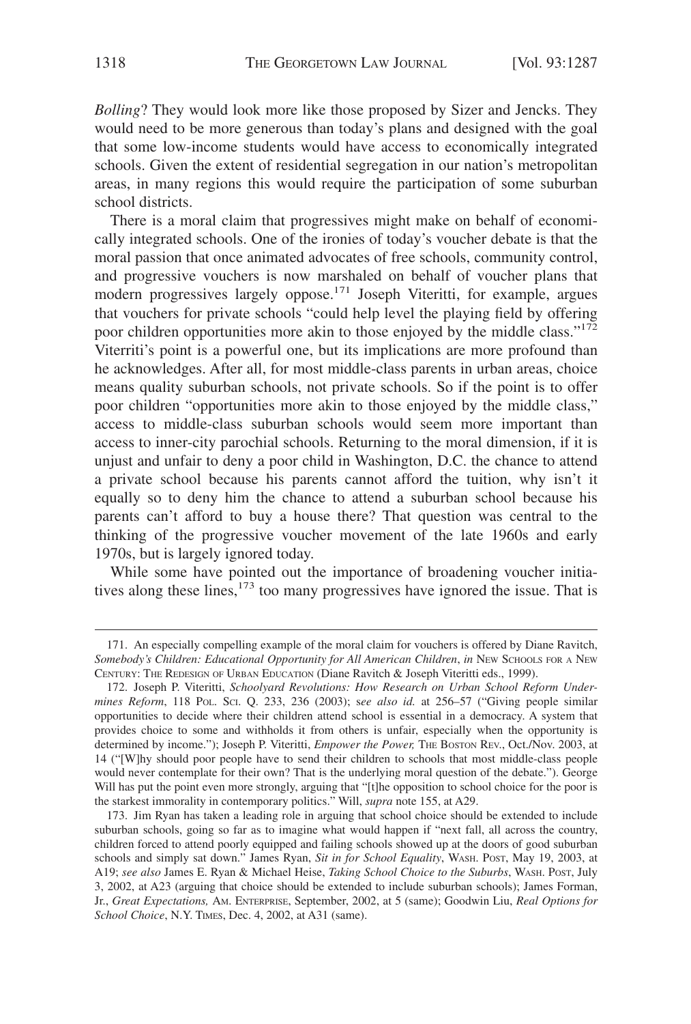*Bolling*? They would look more like those proposed by Sizer and Jencks. They would need to be more generous than today's plans and designed with the goal that some low-income students would have access to economically integrated schools. Given the extent of residential segregation in our nation's metropolitan areas, in many regions this would require the participation of some suburban school districts.

There is a moral claim that progressives might make on behalf of economically integrated schools. One of the ironies of today's voucher debate is that the moral passion that once animated advocates of free schools, community control, and progressive vouchers is now marshaled on behalf of voucher plans that modern progressives largely oppose.<sup>171</sup> Joseph Viteritti, for example, argues that vouchers for private schools "could help level the playing field by offering poor children opportunities more akin to those enjoyed by the middle class."<sup>172</sup> Viterriti's point is a powerful one, but its implications are more profound than he acknowledges. After all, for most middle-class parents in urban areas, choice means quality suburban schools, not private schools. So if the point is to offer poor children "opportunities more akin to those enjoyed by the middle class," access to middle-class suburban schools would seem more important than access to inner-city parochial schools. Returning to the moral dimension, if it is unjust and unfair to deny a poor child in Washington, D.C. the chance to attend a private school because his parents cannot afford the tuition, why isn't it equally so to deny him the chance to attend a suburban school because his parents can't afford to buy a house there? That question was central to the thinking of the progressive voucher movement of the late 1960s and early 1970s, but is largely ignored today.

While some have pointed out the importance of broadening voucher initiatives along these lines,<sup>173</sup> too many progressives have ignored the issue. That is

<sup>171.</sup> An especially compelling example of the moral claim for vouchers is offered by Diane Ravitch, *Somebody's Children: Educational Opportunity for All American Children*, *in* NEW SCHOOLS FOR A NEW CENTURY: THE REDESIGN OF URBAN EDUCATION (Diane Ravitch & Joseph Viteritti eds., 1999).

<sup>172.</sup> Joseph P. Viteritti, *Schoolyard Revolutions: How Research on Urban School Reform Undermines Reform*, 118 POL. SCI. Q. 233, 236 (2003); s*ee also id.* at 256–57 ("Giving people similar opportunities to decide where their children attend school is essential in a democracy. A system that provides choice to some and withholds it from others is unfair, especially when the opportunity is determined by income."); Joseph P. Viteritti, *Empower the Power,* THE BOSTON REV., Oct./Nov. 2003, at 14 ("[W]hy should poor people have to send their children to schools that most middle-class people would never contemplate for their own? That is the underlying moral question of the debate."). George Will has put the point even more strongly, arguing that "[t]he opposition to school choice for the poor is the starkest immorality in contemporary politics." Will, *supra* note 155, at A29.

<sup>173.</sup> Jim Ryan has taken a leading role in arguing that school choice should be extended to include suburban schools, going so far as to imagine what would happen if "next fall, all across the country, children forced to attend poorly equipped and failing schools showed up at the doors of good suburban schools and simply sat down." James Ryan, *Sit in for School Equality*, WASH. POST, May 19, 2003, at A19; *see also* James E. Ryan & Michael Heise, *Taking School Choice to the Suburbs*, WASH. POST, July 3, 2002, at A23 (arguing that choice should be extended to include suburban schools); James Forman, Jr., *Great Expectations,* AM. ENTERPRISE, September, 2002, at 5 (same); Goodwin Liu, *Real Options for School Choice*, N.Y. TIMES, Dec. 4, 2002, at A31 (same).